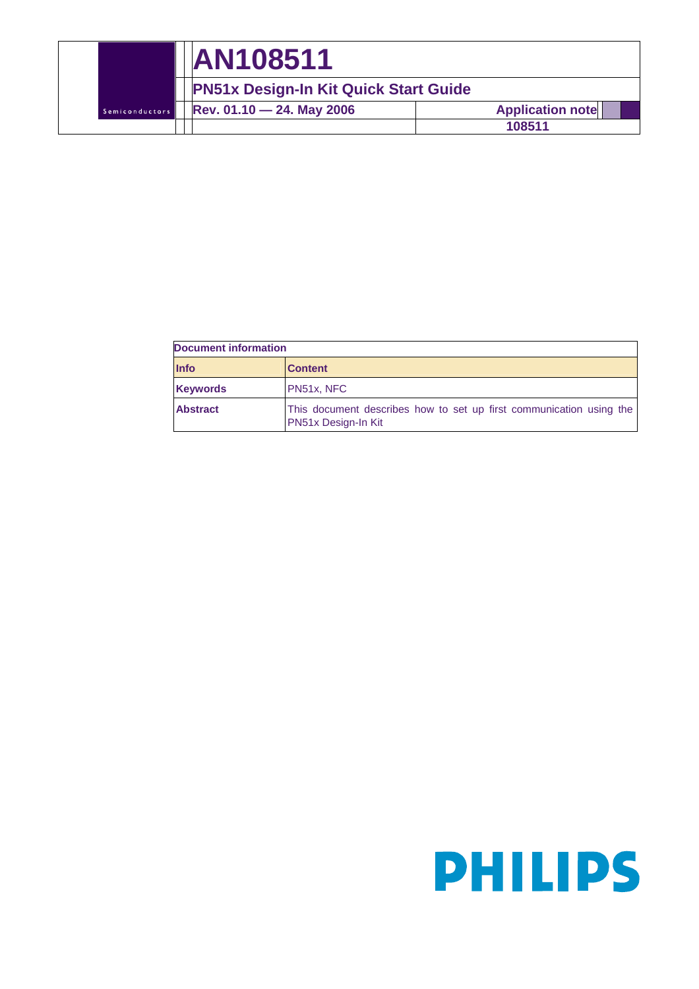|                | <b>AN108511</b>                              |                         |  |  |
|----------------|----------------------------------------------|-------------------------|--|--|
|                | <b>PN51x Design-In Kit Quick Start Guide</b> |                         |  |  |
| Semiconductors | Rev. $01.10 - 24$ . May 2006                 | <b>Application note</b> |  |  |
|                |                                              | 108511                  |  |  |

| <b>Document information</b> |                                                                                            |  |  |  |
|-----------------------------|--------------------------------------------------------------------------------------------|--|--|--|
| <b>Info</b>                 | <b>Content</b>                                                                             |  |  |  |
| <b>Keywords</b>             | PN51x, NFC                                                                                 |  |  |  |
| <b>Abstract</b>             | This document describes how to set up first communication using the<br>PN51x Design-In Kit |  |  |  |

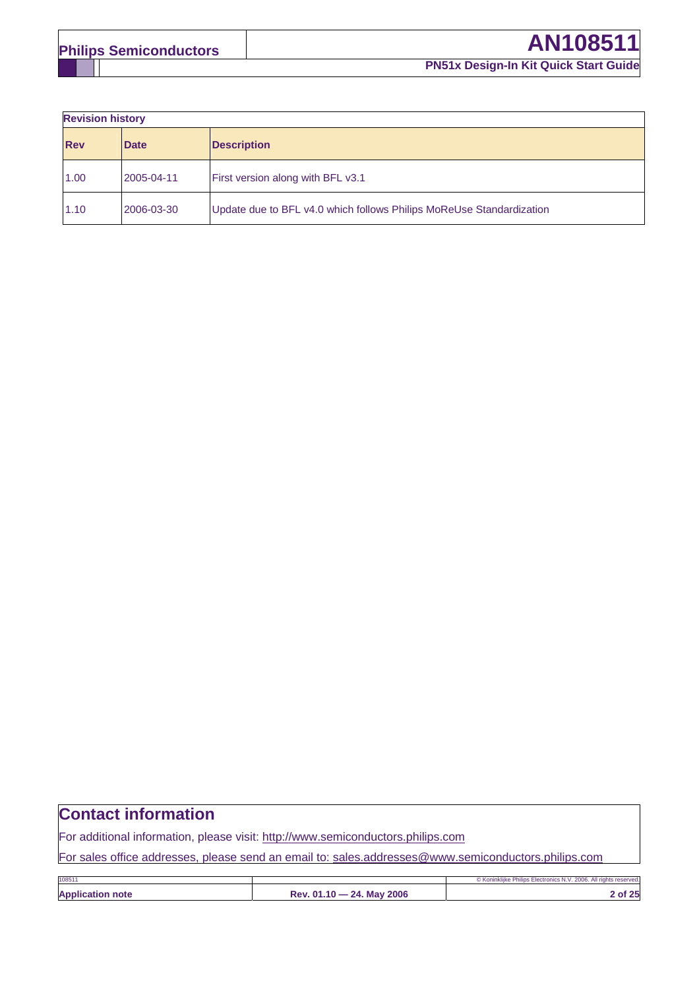**Revision history** 

| <b>INGVISION HISIONY</b> |             |                                                                      |  |
|--------------------------|-------------|----------------------------------------------------------------------|--|
| <b>Rev</b>               | <b>Date</b> | <b>Description</b>                                                   |  |
| 1.00                     | 2005-04-11  | First version along with BFL v3.1                                    |  |
| 1.10                     | 2006-03-30  | Update due to BFL v4.0 which follows Philips MoReUse Standardization |  |

# **Contact information**

For additional information, please visit: http://www.semiconductors.philips.com

For sales office addresses, please send an email to: sales.addresses@www.semiconductors.philips.com

| 108511                  |                           | © Koninkliike Philips Electronics N.V. 2006. All rights reserved. |
|-------------------------|---------------------------|-------------------------------------------------------------------|
| <b>Application note</b> | Rev. 01.10 - 24. May 2006 | of $25$                                                           |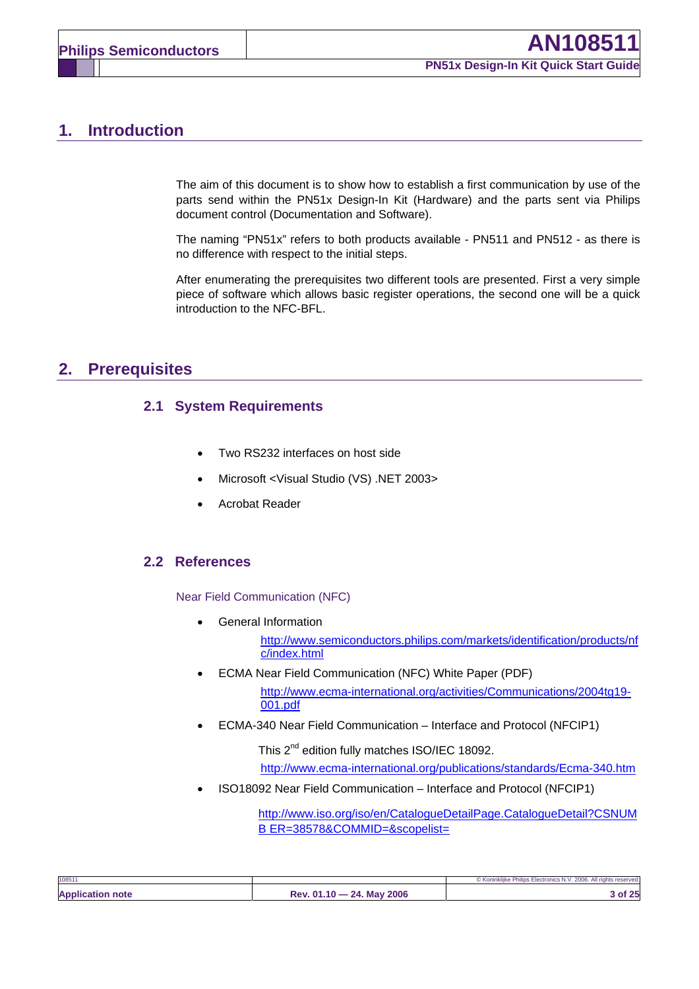# **1. Introduction**

The aim of this document is to show how to establish a first communication by use of the parts send within the PN51x Design-In Kit (Hardware) and the parts sent via Philips document control (Documentation and Software).

The naming "PN51x" refers to both products available - PN511 and PN512 - as there is no difference with respect to the initial steps.

After enumerating the prerequisites two different tools are presented. First a very simple piece of software which allows basic register operations, the second one will be a quick introduction to the NFC-BFL.

# **2. Prerequisites**

### **2.1 System Requirements**

- Two RS232 interfaces on host side
- Microsoft <Visual Studio (VS) .NET 2003>
- Acrobat Reader

### **2.2 References**

Near Field Communication (NFC)

• General Information

http://www.semiconductors.philips.com/markets/identification/products/nf c/index.html

- ECMA Near Field Communication (NFC) White Paper (PDF) http://www.ecma-international.org/activities/Communications/2004tg19- 001.pdf
- ECMA-340 Near Field Communication Interface and Protocol (NFCIP1)

This 2<sup>nd</sup> edition fully matches ISO/IEC 18092. http://www.ecma-international.org/publications/standards/Ecma-340.htm

• ISO18092 Near Field Communication – Interface and Protocol (NFCIP1)

http://www.iso.org/iso/en/CatalogueDetailPage.CatalogueDetail?CSNUM B ER=38578&COMMID=&scopelist=

| 108511                  |                                          | © Koninklijke Philips Electronics N.V. 2006. All rights reserved. |
|-------------------------|------------------------------------------|-------------------------------------------------------------------|
| <b>Application note</b> | 2006<br><b>24. May</b><br>$Rev. 01.10 -$ | of 25                                                             |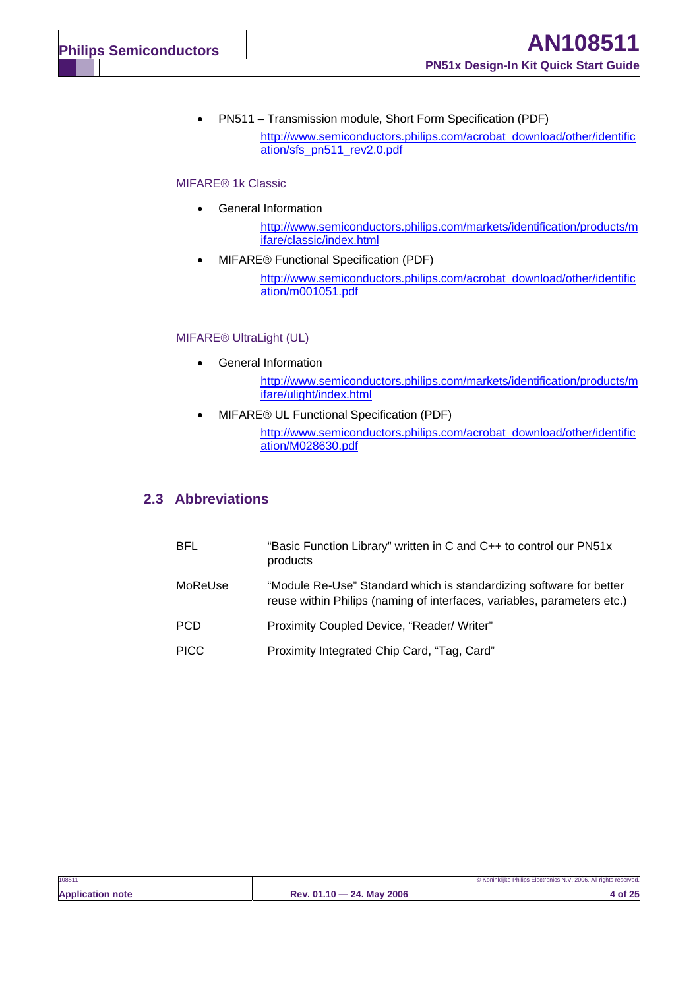• PN511 – Transmission module, Short Form Specification (PDF)

http://www.semiconductors.philips.com/acrobat\_download/other/identific ation/sfs\_pn511\_rev2.0.pdf

#### MIFARE® 1k Classic

- General Information
	- http://www.semiconductors.philips.com/markets/identification/products/m ifare/classic/index.html
- MIFARE® Functional Specification (PDF)

http://www.semiconductors.philips.com/acrobat\_download/other/identific ation/m001051.pdf

#### MIFARE® UltraLight (UL)

- General Information http://www.semiconductors.philips.com/markets/identification/products/m ifare/ulight/index.html
- MIFARE® UL Functional Specification (PDF) http://www.semiconductors.philips.com/acrobat\_download/other/identific ation/M028630.pdf

#### **2.3 Abbreviations**

| <b>BFL</b>  | "Basic Function Library" written in C and C++ to control our PN51x<br>products                                                                 |
|-------------|------------------------------------------------------------------------------------------------------------------------------------------------|
| MoReUse     | "Module Re-Use" Standard which is standardizing software for better<br>reuse within Philips (naming of interfaces, variables, parameters etc.) |
| <b>PCD</b>  | Proximity Coupled Device, "Reader/ Writer"                                                                                                     |
| <b>PICC</b> | Proximity Integrated Chip Card, "Tag, Card"                                                                                                    |

| 108511                  |                           | © Koninklijke Philips Electronics N.V. 2006. All rights reserved. |
|-------------------------|---------------------------|-------------------------------------------------------------------|
| <b>Application note</b> | Rev. 01.10 - 24. May 2006 | of 25                                                             |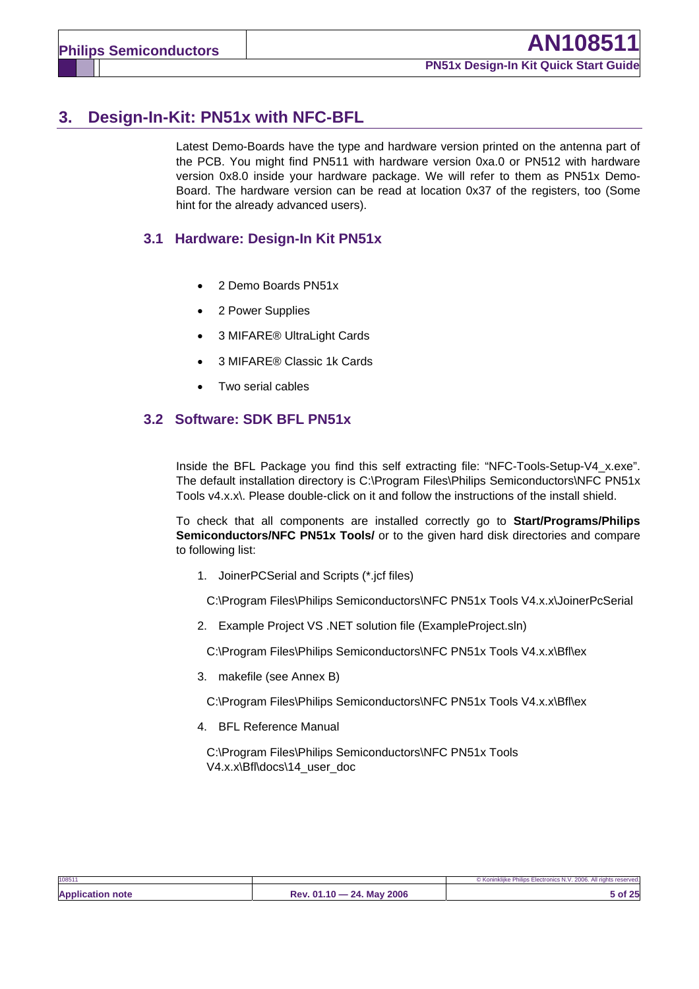# **3. Design-In-Kit: PN51x with NFC-BFL**

Latest Demo-Boards have the type and hardware version printed on the antenna part of the PCB. You might find PN511 with hardware version 0xa.0 or PN512 with hardware version 0x8.0 inside your hardware package. We will refer to them as PN51x Demo-Board. The hardware version can be read at location 0x37 of the registers, too (Some hint for the already advanced users).

### **3.1 Hardware: Design-In Kit PN51x**

- 2 Demo Boards PN51x
- 2 Power Supplies
- 3 MIFARE® UltraLight Cards
- 3 MIFARE® Classic 1k Cards
- Two serial cables

### **3.2 Software: SDK BFL PN51x**

Inside the BFL Package you find this self extracting file: "NFC-Tools-Setup-V4\_x.exe". The default installation directory is C:\Program Files\Philips Semiconductors\NFC PN51x Tools v4.x.x\. Please double-click on it and follow the instructions of the install shield.

To check that all components are installed correctly go to **Start/Programs/Philips Semiconductors/NFC PN51x Tools/** or to the given hard disk directories and compare to following list:

1. JoinerPCSerial and Scripts (\*.jcf files)

C:\Program Files\Philips Semiconductors\NFC PN51x Tools V4.x.x\JoinerPcSerial

2. Example Project VS .NET solution file (ExampleProject.sln)

C:\Program Files\Philips Semiconductors\NFC PN51x Tools V4.x.x\Bfl\ex

3. makefile (see Annex B)

C:\Program Files\Philips Semiconductors\NFC PN51x Tools V4.x.x\Bfl\ex

4. BFL Reference Manual

C:\Program Files\Philips Semiconductors\NFC PN51x Tools V4.x.x\Bfl\docs\14\_user\_doc

| 108511                  |                           | © Koninklijke Philips Electronics N.V. 2006. All rights reserved. |
|-------------------------|---------------------------|-------------------------------------------------------------------|
| <b>Application note</b> | Rev. 01.10 - 24. May 2006 | <b>of</b> 25                                                      |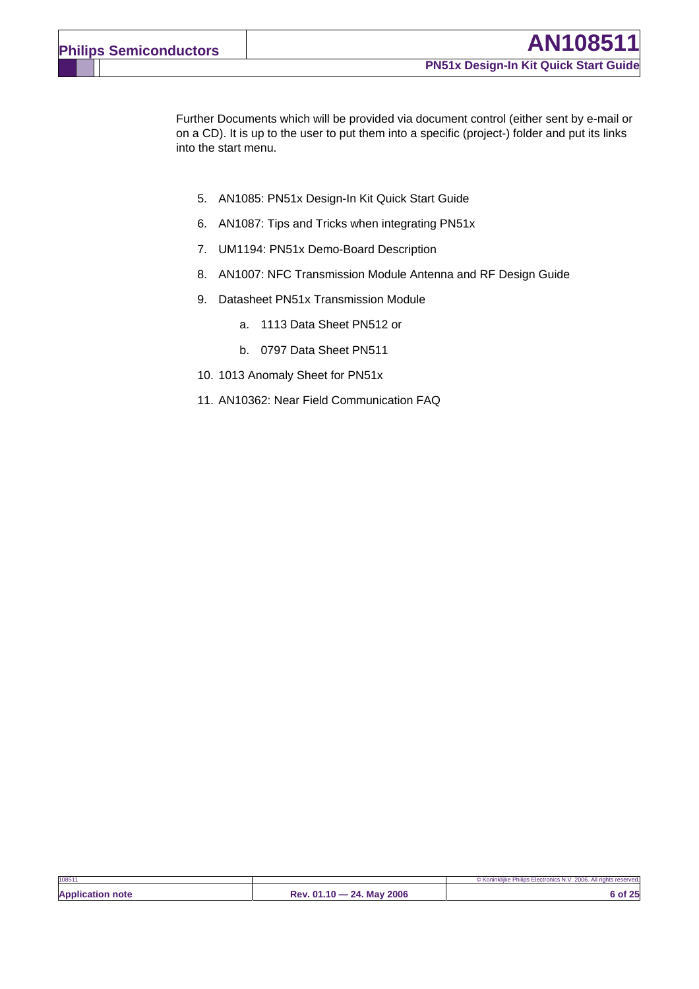Further Documents which will be provided via document control (either sent by e-mail or on a CD). It is up to the user to put them into a specific (project-) folder and put its links into the start menu.

- 5. AN1085: PN51x Design-In Kit Quick Start Guide
- 6. AN1087: Tips and Tricks when integrating PN51x
- 7. UM1194: PN51x Demo-Board Description
- 8. AN1007: NFC Transmission Module Antenna and RF Design Guide
- 9. Datasheet PN51x Transmission Module
	- a. 1113 Data Sheet PN512 or
	- b. 0797 Data Sheet PN511
- 10. 1013 Anomaly Sheet for PN51x
- 11. AN10362: Near Field Communication FAQ

| 108511                  |                           | © Koninklijke Philips Electronics N.V. 2006. All rights reserved. |
|-------------------------|---------------------------|-------------------------------------------------------------------|
| <b>Application note</b> | Rev. 01.10 - 24. May 2006 | 6 of 25                                                           |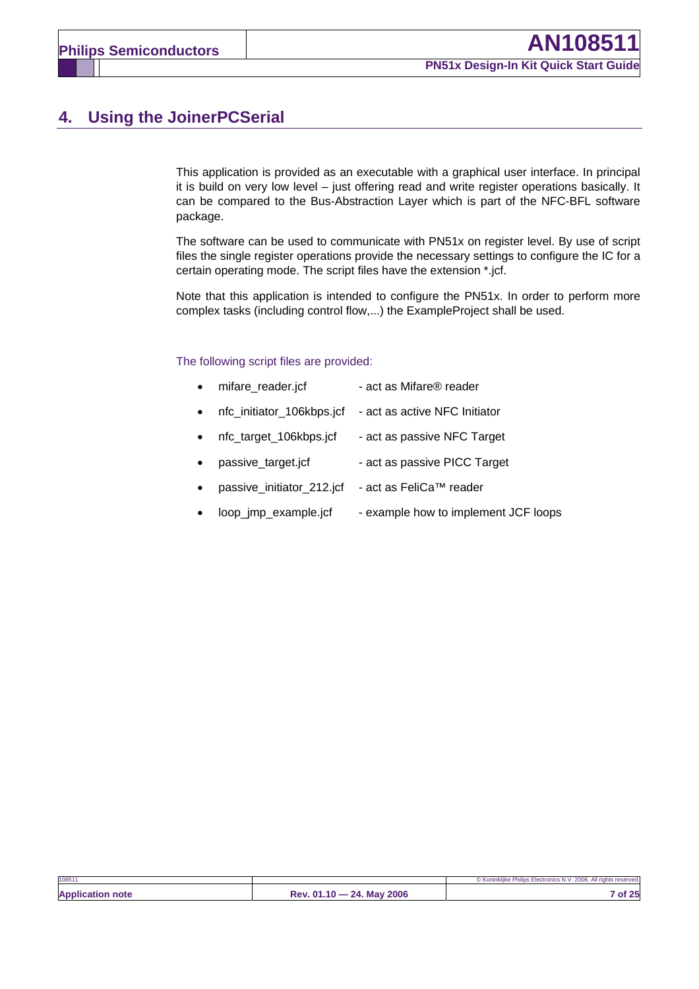# **4. Using the JoinerPCSerial**

This application is provided as an executable with a graphical user interface. In principal it is build on very low level – just offering read and write register operations basically. It can be compared to the Bus-Abstraction Layer which is part of the NFC-BFL software package.

The software can be used to communicate with PN51x on register level. By use of script files the single register operations provide the necessary settings to configure the IC for a certain operating mode. The script files have the extension \*.jcf.

Note that this application is intended to configure the PN51x. In order to perform more complex tasks (including control flow,...) the ExampleProject shall be used.

#### The following script files are provided:

|  | mifare_reader.jcf | - act as Mifare® reader |
|--|-------------------|-------------------------|
|--|-------------------|-------------------------|

- nfc\_initiator\_106kbps.jcf act as active NFC Initiator
- nfc\_target\_106kbps.jcf act as passive NFC Target
- passive\_target.jcf act as passive PICC Target
- passive\_initiator\_212.jcf act as FeliCa™ reader
- loop\_jmp\_example.jcf example how to implement JCF loops

| 108511                  |                                | © Koninkliike Philips Electronics N.V. 2006. All rights reserved. |
|-------------------------|--------------------------------|-------------------------------------------------------------------|
| <b>Application note</b> | 24. May 2006<br>$Rev. 01.10 -$ | of 25                                                             |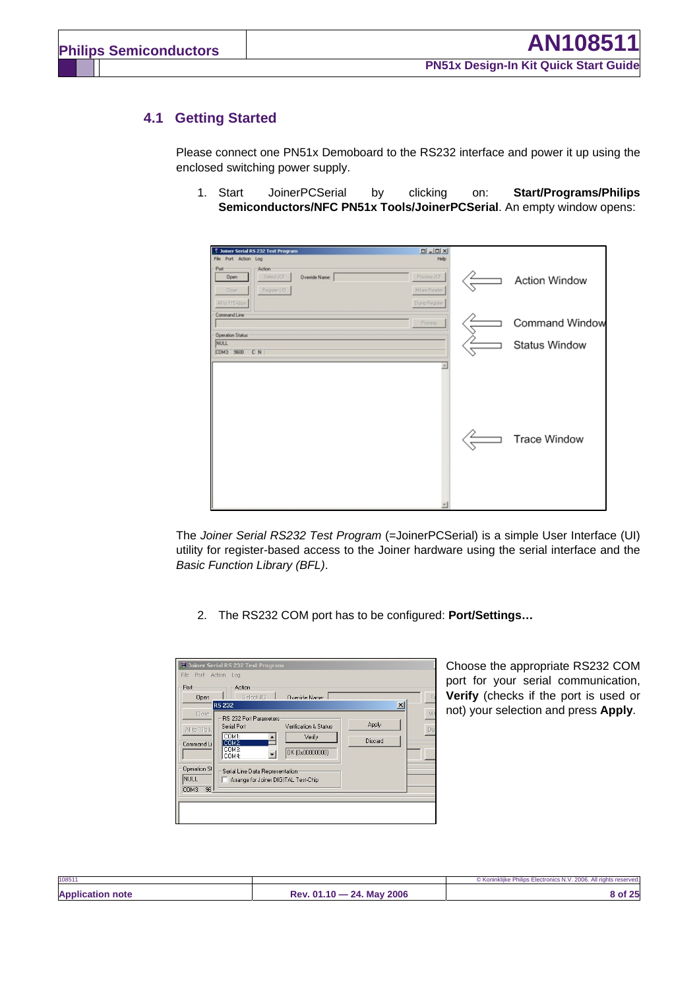### **4.1 Getting Started**

Please connect one PN51x Demoboard to the RS232 interface and power it up using the enclosed switching power supply.

1. Start JoinerPCSerial by clicking on: **Start/Programs/Philips Semiconductors/NFC PN51x Tools/JoinerPCSerial**. An empty window opens:

| $\begin{array}{c c c c c c} \hline \textbf{u} & \textbf{u} & \textbf{v} \\ \hline \textbf{u} & \textbf{u} & \textbf{v} \end{array}$<br><b>B</b> Joiner Serial RS 232 Test Program<br>File Port Action Log<br>Help |                      |
|-------------------------------------------------------------------------------------------------------------------------------------------------------------------------------------------------------------------|----------------------|
| Port<br>Action<br>Select JDF<br>Process JCF<br>Override Name:<br>Open<br>Register I/G<br>Milare Reader<br>Close:                                                                                                  | <b>Action Window</b> |
| Dump Register<br>All to 115 kbps<br>Command Line<br>Process<br>Operation Status                                                                                                                                   | Command Window       |
| <b>NULL</b><br>COM3 9600 C N                                                                                                                                                                                      | <b>Status Window</b> |
| ×                                                                                                                                                                                                                 | <b>Trace Window</b>  |

The *Joiner Serial RS232 Test Program* (=JoinerPCSerial) is a simple User Interface (UI) utility for register-based access to the Joiner hardware using the serial interface and the *Basic Function Library (BFL)*.

2. The RS232 COM port has to be configured: **Port/Settings…**

| File<br>Port Action Log                           | <b>7</b> Joiner Serial RS 232 Test Program                                                                                             |                                |
|---------------------------------------------------|----------------------------------------------------------------------------------------------------------------------------------------|--------------------------------|
| Port<br>Open                                      | Action<br>Select JCF<br>Override Name:<br><b>R5232</b>                                                                                 | P<br>$\vert x \vert$           |
| Close<br>All to 115 k<br>Command Li               | <b>RS 232 Port Parameters</b><br>Serial Port<br>Verification & Status<br>COM1:<br>Verify<br>COM2:<br>COM3:<br>OK (0x00000000)<br>COM4: | Mif<br>Apply<br>Dun<br>Discard |
| Operation SI<br><b>NULL</b><br><b>96</b><br>COM3: | Serial Line Data Representation<br>Arrange for Joiner DIGITAL Test-Chip                                                                |                                |

Choose the appropriate RS232 COM port for your serial communication, **Verify** (checks if the port is used or not) your selection and press **Apply**.

| 10851                   |                                         | © Koninklijke Philips Electronics N.V. 2006. All rights reserved. |
|-------------------------|-----------------------------------------|-------------------------------------------------------------------|
| <b>Application note</b> | <b>May 2006</b><br>24<br>$Rev. 01.10 -$ |                                                                   |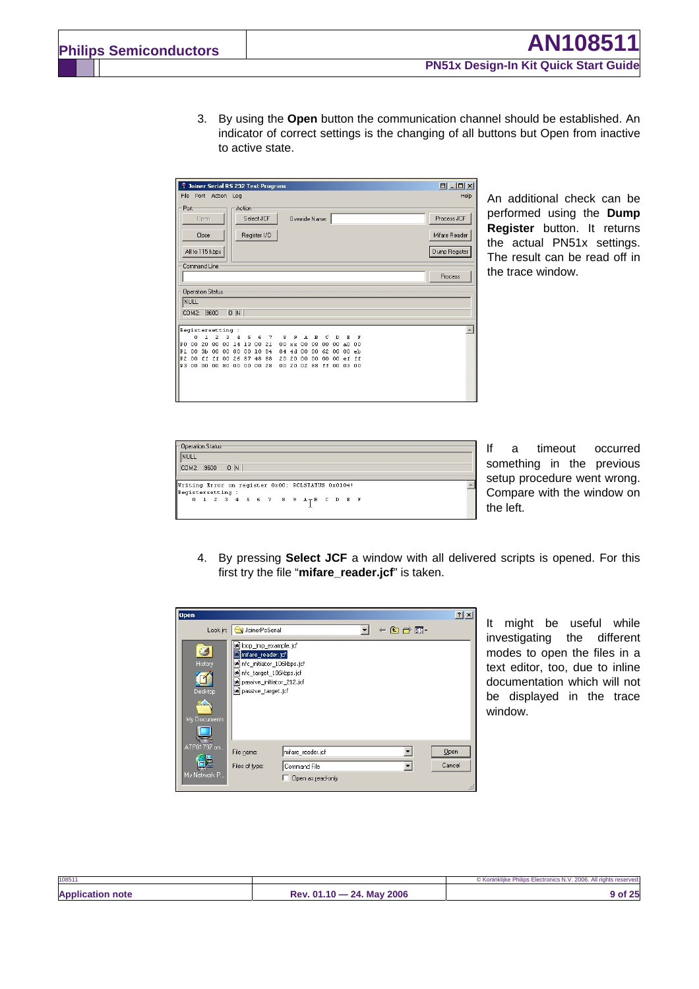3. By using the **Open** button the communication channel should be established. An indicator of correct settings is the changing of all buttons but Open from inactive to active state.

| $\begin{array}{c c c c c c} \hline \textbf{H} & \textbf{H} & \textbf{H} & \textbf{H} \\ \hline \end{array}$<br>ę<br>Joiner Serial RS 232 Test Program                               |               |  |  |  |  |  |  |  |  |  |
|-------------------------------------------------------------------------------------------------------------------------------------------------------------------------------------|---------------|--|--|--|--|--|--|--|--|--|
| File Port Action<br>Help<br>Log                                                                                                                                                     |               |  |  |  |  |  |  |  |  |  |
| Port<br>Action                                                                                                                                                                      |               |  |  |  |  |  |  |  |  |  |
| Select JCF<br>Override Name:<br>Open                                                                                                                                                | Process JCF   |  |  |  |  |  |  |  |  |  |
| Register I/O<br>Close                                                                                                                                                               | Mifare Reader |  |  |  |  |  |  |  |  |  |
| All to 115 kbps                                                                                                                                                                     | Dump Register |  |  |  |  |  |  |  |  |  |
| Command Line                                                                                                                                                                        |               |  |  |  |  |  |  |  |  |  |
|                                                                                                                                                                                     | Process       |  |  |  |  |  |  |  |  |  |
| <b>Operation Status</b>                                                                                                                                                             |               |  |  |  |  |  |  |  |  |  |
| NULL                                                                                                                                                                                |               |  |  |  |  |  |  |  |  |  |
| 0 N<br>9600<br>COM2:                                                                                                                                                                |               |  |  |  |  |  |  |  |  |  |
| Registersetting :                                                                                                                                                                   |               |  |  |  |  |  |  |  |  |  |
| 1<br>2<br>3<br>8<br>9<br>A<br>n<br>5<br>6<br>7<br>c<br>F<br>4<br>B<br>D<br>к                                                                                                        |               |  |  |  |  |  |  |  |  |  |
| PO 00 20 80 00<br>13 00 21<br>14<br>08<br>00xx<br>00<br>00<br>00<br>a <sub>0</sub><br>00                                                                                            |               |  |  |  |  |  |  |  |  |  |
| 3b 00<br>80<br>84<br>P1<br>00<br>00<br>00 10<br>4d<br>00 00<br>62<br>00<br>00<br>84<br>eb<br>P2<br>00<br>ff ff<br>00<br>26<br>87 48<br>88<br>20<br>20<br>00 00<br>00<br>00<br>ef ff |               |  |  |  |  |  |  |  |  |  |
| P3<br>00 00 80<br>00<br>00<br>00 00 28<br>20<br>02 88 ff<br>03 00<br>00<br>00                                                                                                       |               |  |  |  |  |  |  |  |  |  |
|                                                                                                                                                                                     |               |  |  |  |  |  |  |  |  |  |
|                                                                                                                                                                                     |               |  |  |  |  |  |  |  |  |  |
|                                                                                                                                                                                     |               |  |  |  |  |  |  |  |  |  |
|                                                                                                                                                                                     |               |  |  |  |  |  |  |  |  |  |

An additional check can be performed using the **Dump Register** button. It returns the actual PN51x settings. The result can be read off in the trace window.

| Dperation Status:                                 |      |    |  |  |                                                    |  |  |  |  |
|---------------------------------------------------|------|----|--|--|----------------------------------------------------|--|--|--|--|
| Inull                                             |      |    |  |  |                                                    |  |  |  |  |
| COM2:                                             | 9600 | 0N |  |  |                                                    |  |  |  |  |
|                                                   |      |    |  |  |                                                    |  |  |  |  |
|                                                   |      |    |  |  |                                                    |  |  |  |  |
| Writing Error on register 0x00: RCLSTATUS 0x0104! |      |    |  |  |                                                    |  |  |  |  |
| Registersetting :                                 |      |    |  |  |                                                    |  |  |  |  |
|                                                   |      |    |  |  | .scenescom.g.<br>0 1 2 3 4 5 6 7 8 9 A T B C D B F |  |  |  |  |

If a timeout occurred something in the previous setup procedure went wrong. Compare with the window on the left.

4. By pressing **Select JCF** a window with all delivered scripts is opened. For this first try the file "mifare reader.jcf" is taken.

| <b>Open</b>                                             |                                                                                                                                                                     | ?      |
|---------------------------------------------------------|---------------------------------------------------------------------------------------------------------------------------------------------------------------------|--------|
|                                                         | ← 国 合 国 →<br>Look in: GJ JoinerPcSerial                                                                                                                             |        |
| History<br>Desktop<br>70<br>My Documents<br>ATP01797 on | an loop_jmp_example.jcf<br>mifare_reader.jcf<br>an Infc_initiator_106kbps.jcf<br>an Infc_target_106kbps.jcf<br>an passive_initiator_212.jcf<br>a passive_target.jcf |        |
|                                                         | mifare reader.jcf<br>File name:                                                                                                                                     | Qpen   |
|                                                         | Files of type:<br>Command File                                                                                                                                      | Cancel |
| My Network P                                            | Open as read-only                                                                                                                                                   |        |

It might be useful while investigating the different modes to open the files in a text editor, too, due to inline documentation which will not be displayed in the trace window.

| 108511                |                                       | © Koninkliike Philips Electronics<br>s N.V. 2006. All rights reserved. |
|-----------------------|---------------------------------------|------------------------------------------------------------------------|
| <b>Applic</b><br>note | 2006<br>24<br>$4.04 -$<br>Mav<br>9 AV | つち<br>or za                                                            |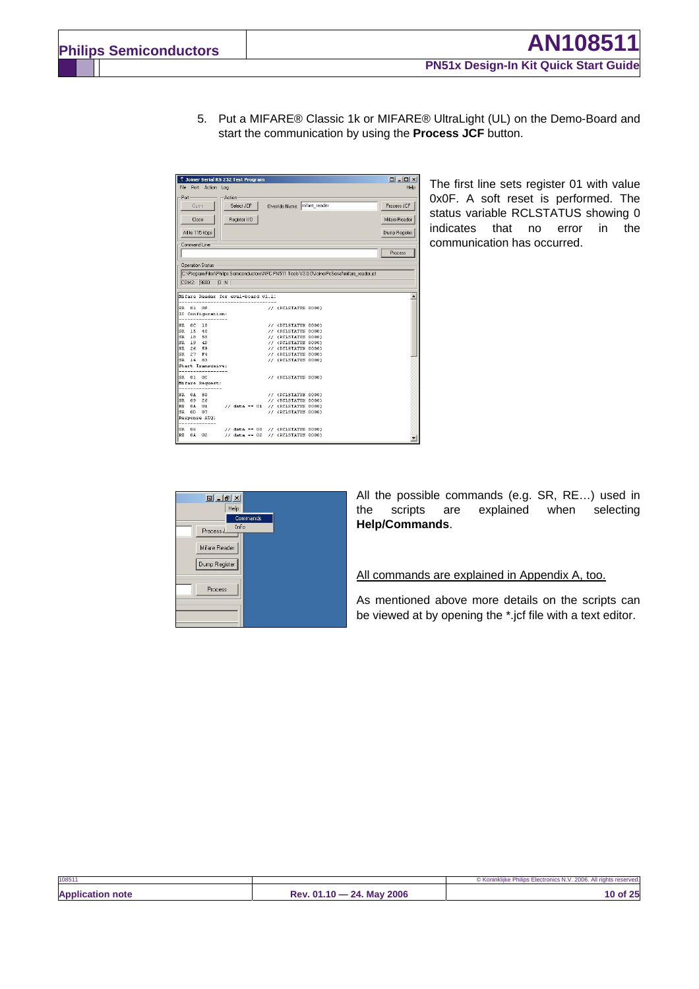5. Put a MIFARE® Classic 1k or MIFARE® UltraLight (UL) on the Demo-Board and start the communication by using the **Process JCF** button.

| 7 Joiner Serial RS 232 Test Program |                                                                                                 | $\boxed{\blacksquare - \square \times }$ |
|-------------------------------------|-------------------------------------------------------------------------------------------------|------------------------------------------|
| File Port Action Log                |                                                                                                 | Help                                     |
| Port<br>Action:                     |                                                                                                 |                                          |
| Select JCE<br>Open.                 | Override Name: mifare_reader                                                                    | Process JCF                              |
| Close<br>Register I/O               |                                                                                                 | Mifare Reader                            |
|                                     |                                                                                                 |                                          |
| All to 115 kbps                     |                                                                                                 | Dump Register                            |
| Command Line                        |                                                                                                 |                                          |
|                                     |                                                                                                 | Process                                  |
|                                     |                                                                                                 |                                          |
| <b>Operation Status</b>             |                                                                                                 |                                          |
|                                     | C:\Program Files\Philips Semiconductors\NFC PN511 Tools V3.0.0\JoinerPcSerial\mifare_reader.icf |                                          |
| COM2: 9600<br>D N                   |                                                                                                 |                                          |
|                                     |                                                                                                 |                                          |
| Mifare Reader for eval-board vl.1:  |                                                                                                 |                                          |
|                                     |                                                                                                 |                                          |
| SR 01 OF<br>IC Configuration:       | // (RCLSTATUS 0000)                                                                             |                                          |
|                                     |                                                                                                 |                                          |
| SR OC<br>10                         | // (RCLSTATUS 0000)                                                                             |                                          |
| SR 15<br>40                         | // (RCLSTATUS 0000)                                                                             |                                          |
| SR 18 55                            | // (RCLSTATUS 0000)                                                                             |                                          |
| SR 19 4D                            | // (RCLSTATUS 0000)                                                                             |                                          |
| SP<br>26<br>59                      | // (RCLSTATUS 0000)                                                                             |                                          |
| SR<br>27<br>F <sub>4</sub>          | // (RCLSTATUS 0000)                                                                             |                                          |
| SR<br>14 83                         | // (RCLSTATUS 0000)                                                                             |                                          |
| Start Transceive:                   |                                                                                                 |                                          |
| SR 01 0C                            | // (RCLSTATUS 0000)                                                                             |                                          |
| Mifare Request:                     |                                                                                                 |                                          |
|                                     |                                                                                                 |                                          |
| SR 0A 80                            | // (RCLSTATUS 0000)                                                                             |                                          |
| SR 09<br>26                         | // (RCLSTATUS 0000)                                                                             |                                          |
| RE<br>0A<br>01                      | $//$ data == 01 $//$ (RCLSTATUS 0000)                                                           |                                          |
| SR<br>0 <sub>D</sub><br>87          | // (RCLSTATUS 0000)                                                                             |                                          |
| Response ATQ:                       |                                                                                                 |                                          |
| GR 06                               | // data == $00$ // (RCLSTATUS 0000)                                                             |                                          |
| RE<br>0A 02                         | $//$ data == 02 $//$ (RCLSTATUS 0000)                                                           |                                          |
|                                     |                                                                                                 |                                          |

The first line sets register 01 with value 0x0F. A soft reset is performed. The status variable RCLSTATUS showing 0 indicates that no error in the communication has occurred.



All the possible commands (e.g. SR, RE…) used in the scripts are explained when selecting **Help/Commands**.

#### All commands are explained in Appendix A, too.

As mentioned above more details on the scripts can be viewed at by opening the \*.jcf file with a text editor.

| 108511                  |                           | © Koninklijke Philips Electronics N.V. 2006. All rights reserved. |
|-------------------------|---------------------------|-------------------------------------------------------------------|
| <b>Application note</b> | Rev. 01.10 - 24. May 2006 | 10 of 25                                                          |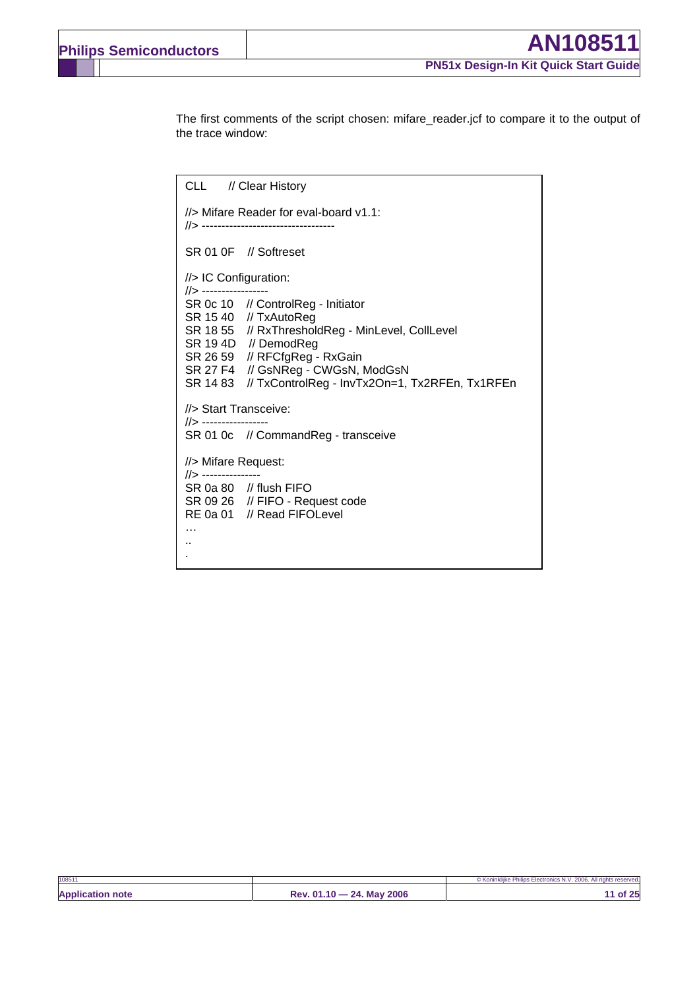The first comments of the script chosen: mifare reader.jcf to compare it to the output of the trace window:

CLL // Clear History //> Mifare Reader for eval-board v1.1: //> ---------------------------------- SR 01 0F // Softreset //> IC Configuration: //> ----------------- SR 0c 10 // ControlReg - Initiator SR 15 40 // TxAutoReg SR 18 55 // RxThresholdReg - MinLevel, CollLevel SR 19 4D // DemodReg SR 26 59 // RFCfgReg - RxGain SR 27 F4 // GsNReg - CWGsN, ModGsN SR 14 83 // TxControlReg - InvTx2On=1, Tx2RFEn, Tx1RFEn //> Start Transceive: //> ----------------- SR 01 0c // CommandReg - transceive //> Mifare Request: //> --------------- SR 0a 80 // flush FIFO SR 09 26 // FIFO - Request code RE 0a 01 // Read FIFOLevel … .. .

| 108511                  |                           | © Koninklijke Philips Electronics N.V. 2006. All rights reserved. |
|-------------------------|---------------------------|-------------------------------------------------------------------|
| <b>Application note</b> | Rev. 01.10 - 24. May 2006 | 1 of 25                                                           |
|                         |                           |                                                                   |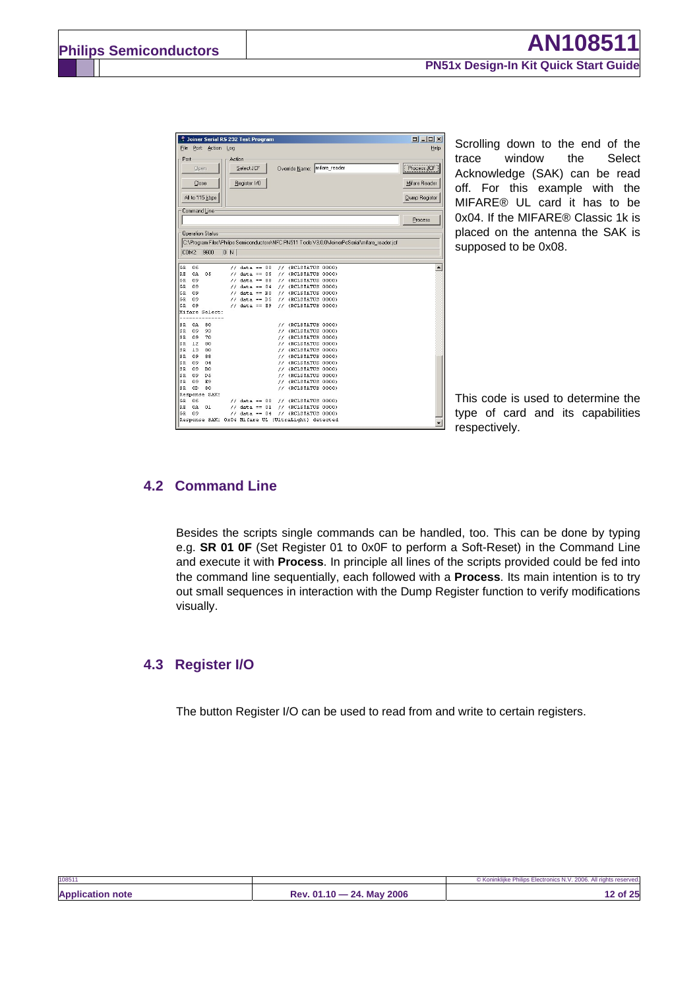|           |          | Joiner Serial RS 232 Test Program |        |                                    |  |                                                                                                 |  | $\begin{array}{c c c c c} \hline \textbf{D} & \textbf{L} & \textbf{D} & \textbf{X} \end{array}$ |      |
|-----------|----------|-----------------------------------|--------|------------------------------------|--|-------------------------------------------------------------------------------------------------|--|-------------------------------------------------------------------------------------------------|------|
| File      |          | Port Action Log                   |        |                                    |  |                                                                                                 |  |                                                                                                 | Help |
| Port      |          |                                   | Action |                                    |  |                                                                                                 |  |                                                                                                 |      |
|           | Open     |                                   |        | Select JCF                         |  | Override Name: mifare_reader                                                                    |  | Process JCF                                                                                     |      |
|           | Close    |                                   |        | Register I/O                       |  |                                                                                                 |  | Mifare Reader                                                                                   |      |
|           |          | All to 115 kbps                   |        |                                    |  |                                                                                                 |  | Dump Register                                                                                   |      |
|           |          | Command Line                      |        |                                    |  |                                                                                                 |  |                                                                                                 |      |
|           |          |                                   |        |                                    |  |                                                                                                 |  | Process                                                                                         |      |
|           |          |                                   |        |                                    |  |                                                                                                 |  |                                                                                                 |      |
|           |          | <b>Operation Status</b>           |        |                                    |  |                                                                                                 |  |                                                                                                 |      |
|           |          |                                   |        |                                    |  | C:\Program Files\Philips Semiconductors\NFC PN511 Tools V3.0.0\JoinerPcSerial\mifare_reader.jcf |  |                                                                                                 |      |
|           |          |                                   |        |                                    |  |                                                                                                 |  |                                                                                                 |      |
|           |          | COM2: 9600                        | 0 N    |                                    |  |                                                                                                 |  |                                                                                                 |      |
|           |          |                                   |        |                                    |  |                                                                                                 |  |                                                                                                 |      |
| GR        | 06       |                                   |        |                                    |  | $//$ data == 00 $//$ (RCLSTATUS 0000)                                                           |  |                                                                                                 |      |
| RE        | 0A       | 05                                |        | $11$ data == 05                    |  | // (RCLSTATUS 0000)                                                                             |  |                                                                                                 |      |
| GR        | 09       |                                   |        | $11$ data == 88                    |  | // (RCLSTATUS 0000)                                                                             |  |                                                                                                 |      |
| GR.       | 09       |                                   |        | $11$ data == 04                    |  | // (RCLSTATUS 0000)                                                                             |  |                                                                                                 |      |
| GR        | 09       |                                   |        | $//$ data == B0                    |  | // (RCLSTATUS 0000)                                                                             |  |                                                                                                 |      |
| GR.       | 09       |                                   |        | $11$ data == $DS$                  |  | // (RCLSTATUS 0000)                                                                             |  |                                                                                                 |      |
| GR        | 09       |                                   |        | $//$ data == E9                    |  | // (RCLSTATUS 0000)                                                                             |  |                                                                                                 |      |
|           |          | Mifare Select:                    |        |                                    |  |                                                                                                 |  |                                                                                                 |      |
|           |          |                                   |        |                                    |  |                                                                                                 |  |                                                                                                 |      |
| SR        | 0A       | 80                                |        |                                    |  | // (RCLSTATUS 0000)                                                                             |  |                                                                                                 |      |
| SR        | 09       | 93                                |        |                                    |  | // (RCLSTATUS 0000)                                                                             |  |                                                                                                 |      |
| SR        | 09       | 70                                |        |                                    |  | // (RCLSTATUS 0000)                                                                             |  |                                                                                                 |      |
| SR        | 12       | 80                                |        |                                    |  | // (RCLSTATUS 0000)                                                                             |  |                                                                                                 |      |
| SR.       | 13       | 80                                |        |                                    |  | // (RCLSTATUS 0000)                                                                             |  |                                                                                                 |      |
| SR        | 09       | 88                                |        |                                    |  | // (RCLSTATUS 0000)                                                                             |  |                                                                                                 |      |
| SR        | 09       | 04                                |        |                                    |  | // (RCLSTATUS 0000)                                                                             |  |                                                                                                 |      |
| SR        | 09       | B0                                |        |                                    |  | // (RCLSTATUS 0000)                                                                             |  |                                                                                                 |      |
| SR        | 09       | D <sub>5</sub>                    |        |                                    |  | // (RCLSTATUS 0000)                                                                             |  |                                                                                                 |      |
| SR.       | 09       | E9                                |        |                                    |  | // (RCLSTATUS 0000)                                                                             |  |                                                                                                 |      |
| SR        | OD       | 80                                |        |                                    |  | // (RCLSTATUS 0000)                                                                             |  |                                                                                                 |      |
|           |          | Response SAK:                     |        |                                    |  |                                                                                                 |  |                                                                                                 |      |
|           |          |                                   |        | $//$ data == 00                    |  | // (RCLSTATUS 0000)                                                                             |  |                                                                                                 |      |
|           |          |                                   |        |                                    |  |                                                                                                 |  |                                                                                                 |      |
| GR        | 06       |                                   |        |                                    |  |                                                                                                 |  |                                                                                                 |      |
| RE<br>GR. | 0A<br>n9 | $_{01}$                           |        | $1/$ data == 01<br>$//$ data == 04 |  | // (RCLSTATUS 0000)<br>// (RCLSTATUS 0000)                                                      |  |                                                                                                 |      |

Scrolling down to the end of the trace window the Select Acknowledge (SAK) can be read off. For this example with the MIFARE® UL card it has to be 0x04. If the MIFARE® Classic 1k is placed on the antenna the SAK is supposed to be 0x08.

This code is used to determine the type of card and its capabilities respectively.

### **4.2 Command Line**

Besides the scripts single commands can be handled, too. This can be done by typing e.g. **SR 01 0F** (Set Register 01 to 0x0F to perform a Soft-Reset) in the Command Line and execute it with **Process**. In principle all lines of the scripts provided could be fed into the command line sequentially, each followed with a **Process**. Its main intention is to try out small sequences in interaction with the Dump Register function to verify modifications visually.

### **4.3 Register I/O**

The button Register I/O can be used to read from and write to certain registers.

| 108511                  |                           | © Koninklijke Philips Electronics N.V. 2006. All rights reserved. |
|-------------------------|---------------------------|-------------------------------------------------------------------|
| <b>Application note</b> | Rev. 01.10 - 24. May 2006 | 12 of 25                                                          |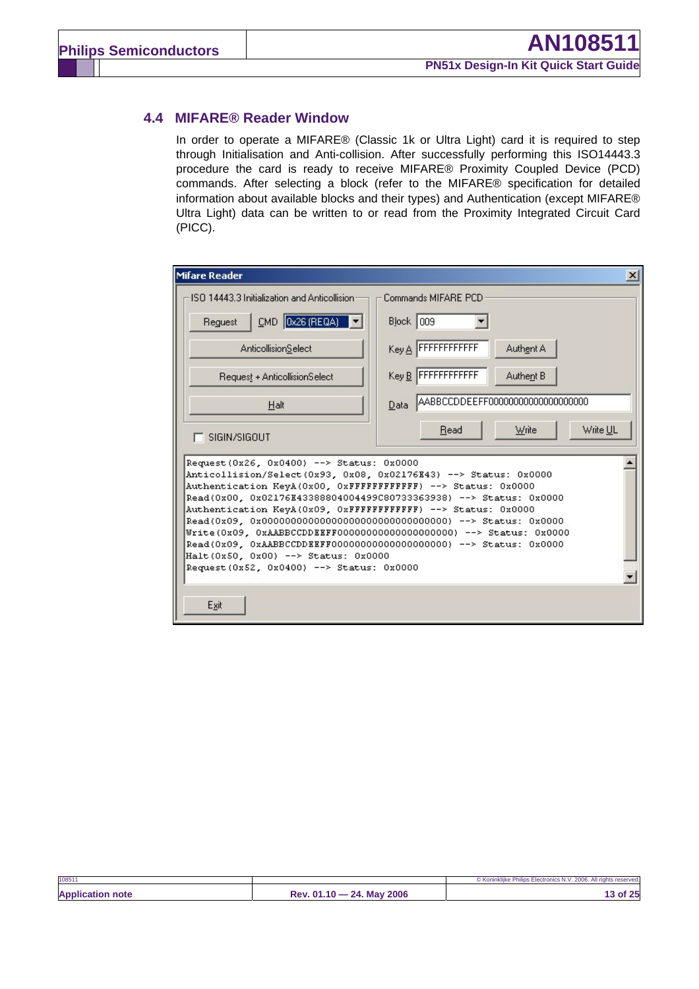## **4.4 MIFARE® Reader Window**

In order to operate a MIFARE® (Classic 1k or Ultra Light) card it is required to step through Initialisation and Anti-collision. After successfully performing this ISO14443.3 procedure the card is ready to receive MIFARE® Proximity Coupled Device (PCD) commands. After selecting a block (refer to the MIFARE® specification for detailed information about available blocks and their types) and Authentication (except MIFARE® Ultra Light) data can be written to or read from the Proximity Integrated Circuit Card (PICC).

| Mifare Reader<br>$\mathbf{x}$                                                                                                                                                                                                                                                                                                                                                                                                                                                                                                                                |                                           |  |  |  |  |  |
|--------------------------------------------------------------------------------------------------------------------------------------------------------------------------------------------------------------------------------------------------------------------------------------------------------------------------------------------------------------------------------------------------------------------------------------------------------------------------------------------------------------------------------------------------------------|-------------------------------------------|--|--|--|--|--|
| ISO 14443.3 Initialization and Anticollision                                                                                                                                                                                                                                                                                                                                                                                                                                                                                                                 | Commands MIFARE PCD                       |  |  |  |  |  |
| $CMD$ 0x26 (REQA)<br>Request                                                                                                                                                                                                                                                                                                                                                                                                                                                                                                                                 | <b>Block</b> 009                          |  |  |  |  |  |
| AnticollisionSelect                                                                                                                                                                                                                                                                                                                                                                                                                                                                                                                                          | Key A FFFFFFFFFFFF<br>Authent A           |  |  |  |  |  |
| Request + AnticollisionSelect                                                                                                                                                                                                                                                                                                                                                                                                                                                                                                                                | Key B FFFFFFFFFFFF<br>Authent B           |  |  |  |  |  |
| Halt                                                                                                                                                                                                                                                                                                                                                                                                                                                                                                                                                         | AABBCCDDEEFF000000000000000000000<br>Data |  |  |  |  |  |
| $\Gamma$ sigin/signut                                                                                                                                                                                                                                                                                                                                                                                                                                                                                                                                        | Write UL<br>Write<br>Read                 |  |  |  |  |  |
| Request (0x26, 0x0400) --> Status: 0x0000<br>Anticollision/Select(0x93, 0x08, 0x02176E43) --> Status: 0x0000<br>Authentication KeyA(0x00, 0xFFFFFFFFFFFFF) --> Status: 0x0000<br>Read(0x00, 0x02176E43388804004499C80733363938) --> Status: 0x0000<br>Authentication KeyA(0x09, 0xFFFFFFFFFFFFF) --> Status: 0x0000<br>Write(0x09, 0xAABBCCDDEEFF000000000000000000000) --> Status: 0x0000<br>Read(0x09, 0xAABBCCDDEEFF000000000000000000000) --> Status: 0x0000<br>Halt(0x50, 0x00) --> Status: 0x0000<br>Request (0x52, 0x0400) --> Status: 0x0000<br>Exit |                                           |  |  |  |  |  |

| 10851                   |                           | © Koninklijke Philips Electronics N.V. 2006. All rights reserved. |
|-------------------------|---------------------------|-------------------------------------------------------------------|
| <b>Application note</b> | Rev. 01.10 - 24. May 2006 | 3 of 25                                                           |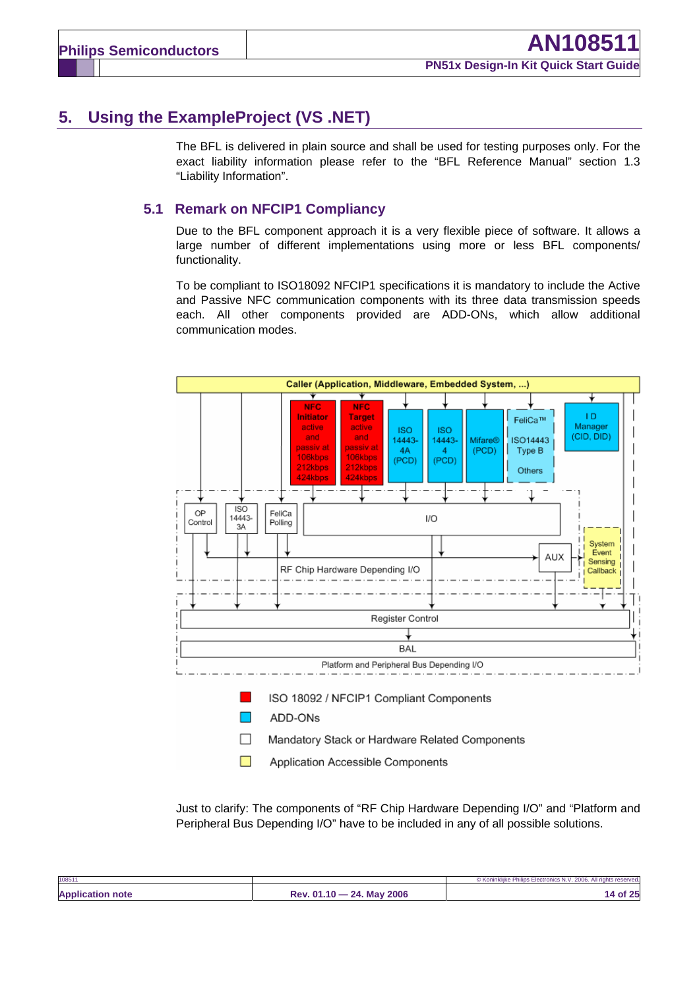# **5. Using the ExampleProject (VS .NET)**

The BFL is delivered in plain source and shall be used for testing purposes only. For the exact liability information please refer to the "BFL Reference Manual" section 1.3 "Liability Information".

### **5.1 Remark on NFCIP1 Compliancy**

Due to the BFL component approach it is a very flexible piece of software. It allows a large number of different implementations using more or less BFL components/ functionality.

To be compliant to ISO18092 NFCIP1 specifications it is mandatory to include the Active and Passive NFC communication components with its three data transmission speeds each. All other components provided are ADD-ONs, which allow additional communication modes.



Just to clarify: The components of "RF Chip Hardware Depending I/O" and "Platform and Peripheral Bus Depending I/O" have to be included in any of all possible solutions.

| 10851                   |                                                 | © Koninklijke Philips<br>.2006.<br>All rights reserved.<br><b>Electronics N.V</b> |
|-------------------------|-------------------------------------------------|-----------------------------------------------------------------------------------|
| <b>Application note</b> | 2006<br><b>24. May</b><br>Rev. 01.<br><b>40</b> | of 25<br>$\overline{ }$                                                           |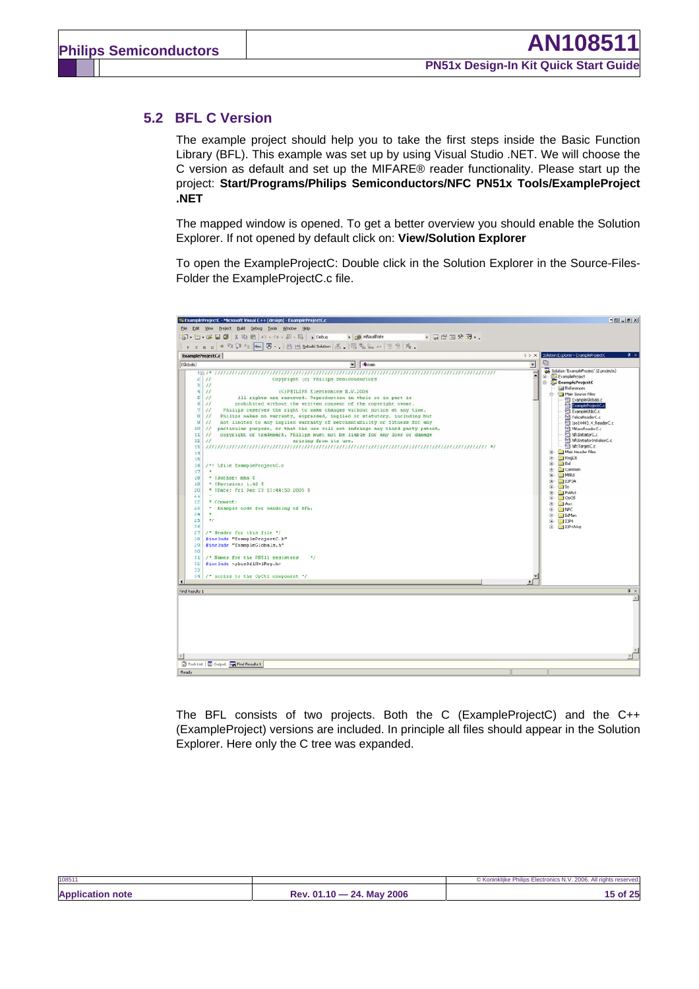#### **5.2 BFL C Version**

The example project should help you to take the first steps inside the Basic Function Library (BFL). This example was set up by using Visual Studio .NET. We will choose the C version as default and set up the MIFARE® reader functionality. Please start up the project: **Start/Programs/Philips Semiconductors/NFC PN51x Tools/ExampleProject .NET**

The mapped window is opened. To get a better overview you should enable the Solution Explorer. If not opened by default click on: **View/Solution Explorer** 

To open the ExampleProjectC: Double click in the Solution Explorer in the Source-Files-Folder the ExampleProjectC.c file.



The BFL consists of two projects. Both the C (ExampleProjectC) and the C++ (ExampleProject) versions are included. In principle all files should appear in the Solution Explorer. Here only the C tree was expanded.

| 108511                  |                                          | © Koninkliike Philips Electronics N.V. 2006. All rights reserved. |
|-------------------------|------------------------------------------|-------------------------------------------------------------------|
| <b>Application note</b> | <b>May 2006</b><br>24.<br>$Rev. 01.10 -$ | 15 of 25                                                          |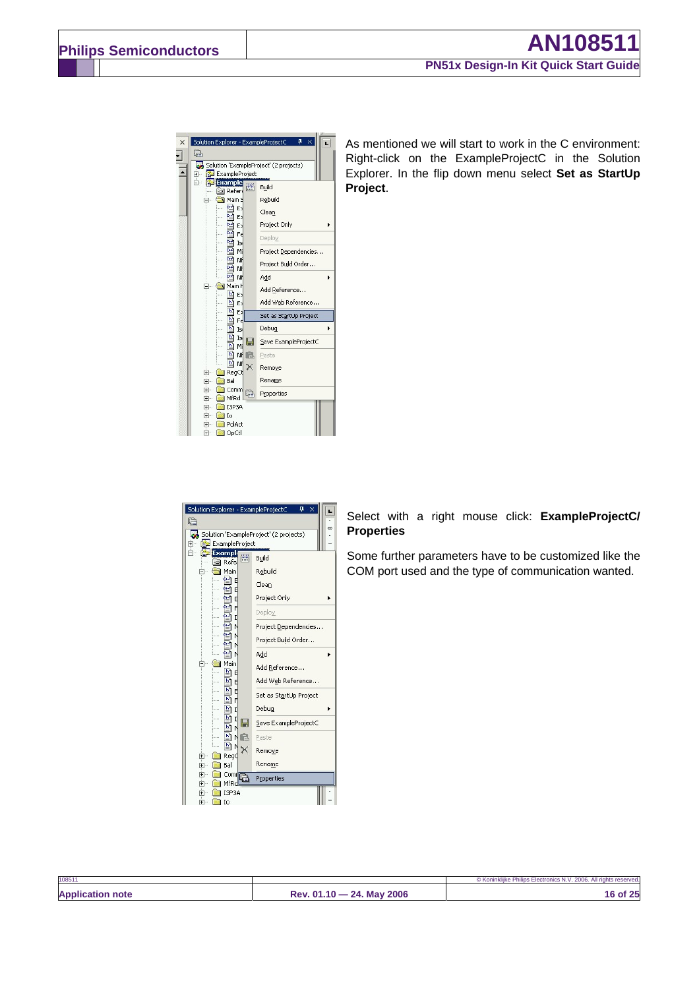

As mentioned we will start to work in the C environment: Right-click on the ExampleProjectC in the Solution Explorer. In the flip down menu select **Set as StartUp Project**.



Select with a right mouse click: **ExampleProjectC/ Properties**

Some further parameters have to be customized like the COM port used and the type of communication wanted.

| 10851                      |                                             | All rights reserved.<br>.2006.<br><b>AIV</b><br><i>©</i> Konınk <sup>ı</sup> |
|----------------------------|---------------------------------------------|------------------------------------------------------------------------------|
| <b>Application</b><br>note | 2006<br>01.10<br>Mav<br>24.<br>יים ס<br>ne. | つら<br>Ωt<br>23                                                               |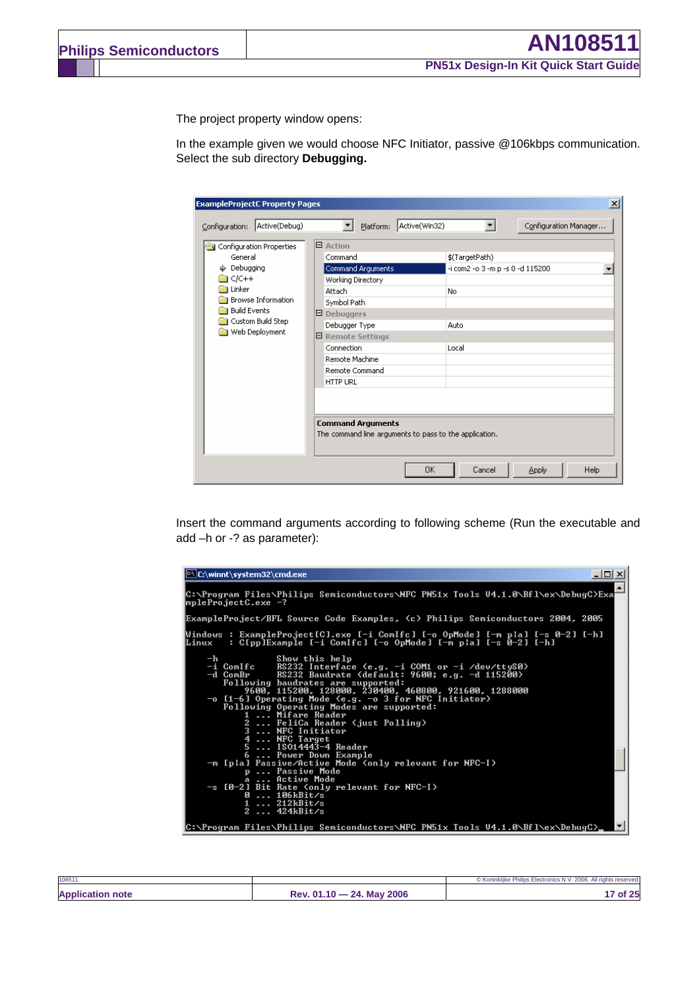The project property window opens:

In the example given we would choose NFC Initiator, passive @106kbps communication. Select the sub directory **Debugging.**

| <b>ExampleProjectC Property Pages</b>                                                             |                                                                                                                                                      |                                                    | $\vert x \vert$       |
|---------------------------------------------------------------------------------------------------|------------------------------------------------------------------------------------------------------------------------------------------------------|----------------------------------------------------|-----------------------|
| Active(Debug)<br>Configuration:<br>Configuration Properties<br>General<br>Debugging<br>$C/C++$    | Active(Win32)<br>Platform:<br>▼<br>$\boxminus$ Action<br>Command<br>Command Arguments<br>Working Directory                                           | \$(TargetPath)<br>-i com2 -o 3 -m p -s 0 -d 115200 | Configuration Manager |
| Linker<br><b>Browse Information</b><br><b>Build Events</b><br>Custom Build Step<br>Web Deployment | Attach<br>Symbol Path<br>$\Box$ Debuggers<br>Debugger Type<br>日 Remote Settings<br>Connection<br>Remote Machine<br>Remote Command<br><b>HTTP URL</b> | No.<br>Auto<br>Local                               |                       |
|                                                                                                   | <b>Command Arguments</b><br>The command line arguments to pass to the application.                                                                   | <b>OK</b><br>Cancel                                | Help<br>Apply         |

Insert the command arguments according to following scheme (Run the executable and add –h or -? as parameter):

| C:\winnt\system32\cmd.exe<br>$-1$ o                                                                                                                                                                                                                                                                                                                                                                                                                                                                                                                                                                                                                                                                          |
|--------------------------------------------------------------------------------------------------------------------------------------------------------------------------------------------------------------------------------------------------------------------------------------------------------------------------------------------------------------------------------------------------------------------------------------------------------------------------------------------------------------------------------------------------------------------------------------------------------------------------------------------------------------------------------------------------------------|
| C:\Program Files\Philips Semiconductors\NFC PN51x Tools U4.1.0\Bfl\ex\DebugC>Exa<br> mpleProjectC.exe −?                                                                                                                                                                                                                                                                                                                                                                                                                                                                                                                                                                                                     |
| ExampleProject/BFL Source Code Examples, (c) Philips Semiconductors 2004, 2005                                                                                                                                                                                                                                                                                                                                                                                                                                                                                                                                                                                                                               |
| Windows : ExampleProject[C].exe [-i ComIfc] [-o OpMode] [-m p¦a] [-s 0-2] [-h]<br>: C[pp]Example [-i ComIfc] [-o OpMode] [-m p¦a] [-s 0-2] [-h]<br>Linux                                                                                                                                                                                                                                                                                                                                                                                                                                                                                                                                                     |
| $-\mathbf{h}$<br>Show this help<br>-i ComIfc<br>RS232 Interface (e.g. -i COM1 or -i /dev/ttyS0)<br>RS232 Baudrate (default: 9600; e.g. -d 115200)<br>-d ComBr<br>Following baudrates are supported:<br>9600, 115200, 128000, 230400, 460800, 921600, 1288000<br>$-$ o [1-6] Operating Mode (e.g. $-$ o 3 for NFC Initiator)<br>Following Operating Modes are supported:<br>1  Mifare Reader<br>2  FeliCa Reader (just Polling)<br>3<br>NFC Initiator<br>4<br>NFC Target<br>5 $I\$ SO14443-4 Reader<br>6  Power Down Example<br>-m [pla] Passive/Active Mode (only relevant for NFC-I)<br>p Passive Mode<br>a  Active Mode<br>$-s$ [0-2] Bit Rate (only relevant for NFC-I)<br>106kBit/s<br>ø<br>1  212kBit/s |
| 2 $424kBit/s$<br> C:\Program Files\Philips Semiconductors\NFC PN51x Tools U4.1.0\Bfl\ex\DebugC>                                                                                                                                                                                                                                                                                                                                                                                                                                                                                                                                                                                                              |

| <b>Application note</b><br>Rev. 01.10 - 24. May 2006 | $^{\prime}$ of 25 |
|------------------------------------------------------|-------------------|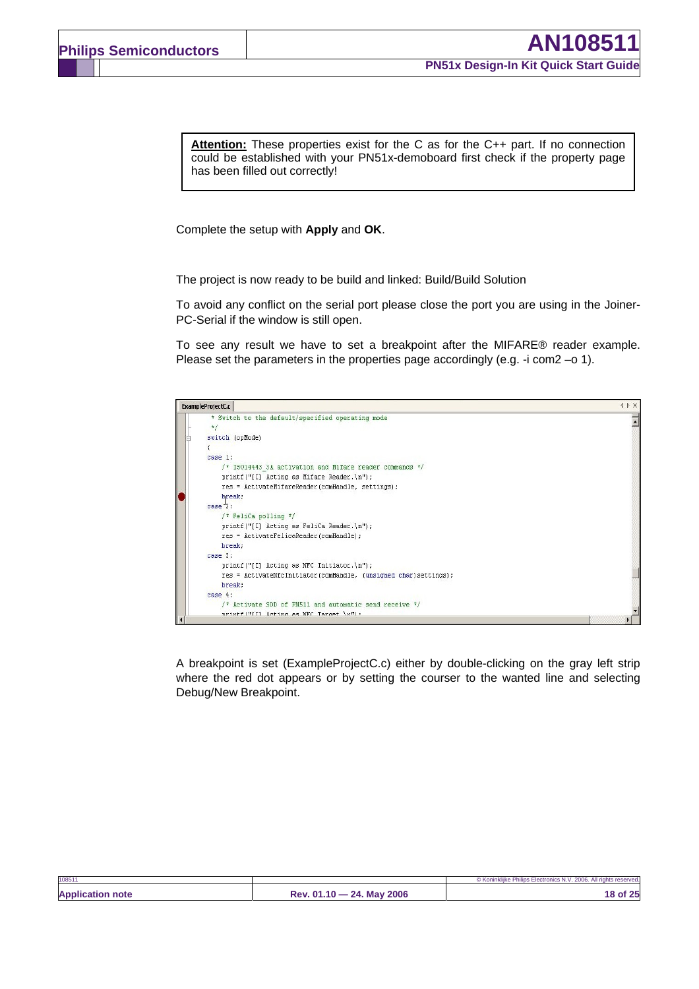**Attention:** These properties exist for the C as for the C++ part. If no connection could be established with your PN51x-demoboard first check if the property page has been filled out correctly!

Complete the setup with **Apply** and **OK**.

The project is now ready to be build and linked: Build/Build Solution

To avoid any conflict on the serial port please close the port you are using in the Joiner-PC-Serial if the window is still open.

To see any result we have to set a breakpoint after the MIFARE® reader example. Please set the parameters in the properties page accordingly (e.g. -i com2 -o 1).



A breakpoint is set (ExampleProjectC.c) either by double-clicking on the gray left strip where the red dot appears or by setting the courser to the wanted line and selecting Debug/New Breakpoint.

| 10851                   |                           | © Koninklijke Philips Electronics N.V. 2006. All rights reserved. |
|-------------------------|---------------------------|-------------------------------------------------------------------|
| <b>Application note</b> | Rev. 01.10 - 24. May 2006 | 18 of 25                                                          |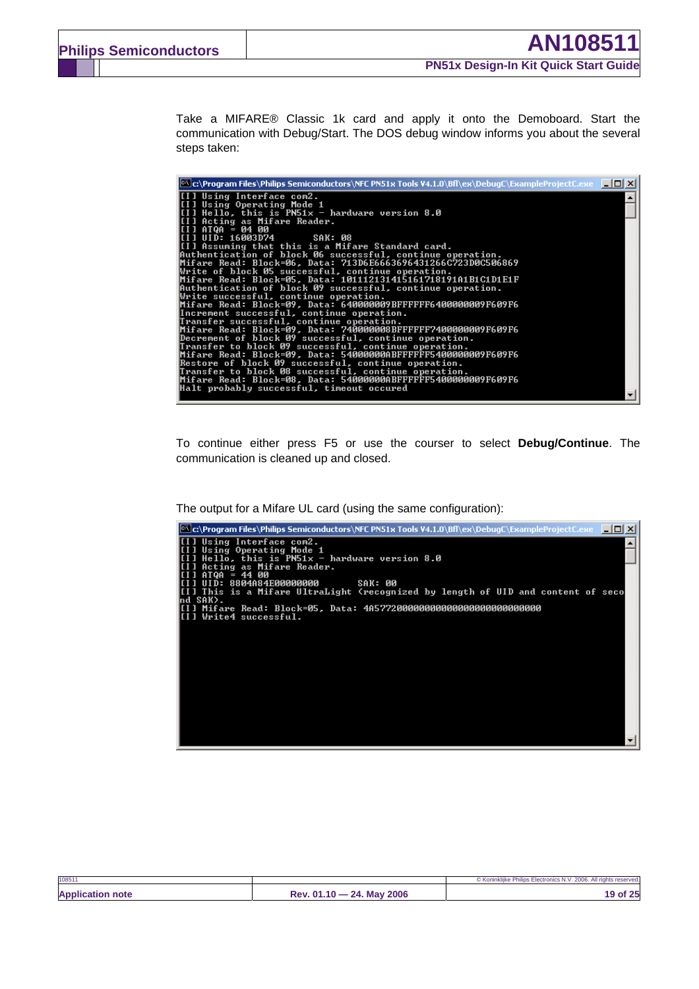Take a MIFARE® Classic 1k card and apply it onto the Demoboard. Start the communication with Debug/Start. The DOS debug window informs you about the several steps taken:

| $\mathbb{P}$ c:\Program Files\Philips Semiconductors\NFC PN51x Tools V4.1.0\Bfl\ex\DebugC\ExampleProjectC.exe $\blacksquare$ $\blacksquare$ $\boxtimes$ |  |
|---------------------------------------------------------------------------------------------------------------------------------------------------------|--|
| [[I] Using Interface com2.                                                                                                                              |  |
| [[I] Using Operating Mode 1                                                                                                                             |  |
| [[I] Hello, this is PN51x — hardware version 8.0                                                                                                        |  |
| [[I] Acting as Mifare Reader.                                                                                                                           |  |
| [I] ATQA = 04 00                                                                                                                                        |  |
| I[I] UID: 16003D74           SAK: 08                                                                                                                    |  |
| [[I] Assuming that this is a Mifare Standard card.                                                                                                      |  |
| Authentication of block 06 successful, continue operation.                                                                                              |  |
| Mifare Read: Block=06, Data: 713D6E6663696431266C723D0C506869                                                                                           |  |
| Write of block 05 successful, continue operation.                                                                                                       |  |
| Mifare Read: Block=05, Data: 101112131415161718191A1B1C1D1E1F                                                                                           |  |
| Authentication of block 09 successful, continue operation.                                                                                              |  |
| Write successful, continue operation.                                                                                                                   |  |
| Mifare Read: Block=09, Data: 640000009BFFFFFF6400000009F609F6                                                                                           |  |
| Increment successful, continue operation.                                                                                                               |  |
| Transfer successful, continue operation.                                                                                                                |  |
| Mifare Read: Block=09, Data: 740000008BFFFFFF7 <u>400000009F609F6</u>                                                                                   |  |
| Decrement of block 09 successful, continue operation.                                                                                                   |  |
| Transfer to block 09 successful, continue operation.                                                                                                    |  |
| Mifare Read: Block=09, Data: 54000000ABFFFFFF5400000009F609F6                                                                                           |  |
| Restore of block 09 successful, continue operation.                                                                                                     |  |
| Transfer to block 08 successful, continue operation.                                                                                                    |  |
| Mifare Read: Block=08, Data: 54000000ABFFFFFF5400000009F609F6                                                                                           |  |
| Halt probably successful, timeout occured                                                                                                               |  |
|                                                                                                                                                         |  |

To continue either press F5 or use the courser to select **Debug/Continue**. The communication is cleaned up and closed.

The output for a Mifare UL card (using the same configuration):



| 108511                  |                                     | © Koninkliike Philips Electronics N.V. 2006. All rights reserved. |
|-------------------------|-------------------------------------|-------------------------------------------------------------------|
| <b>Application note</b> | $-24.$ May 2006<br>$Rev. 01.10 - 1$ | 19 of 25                                                          |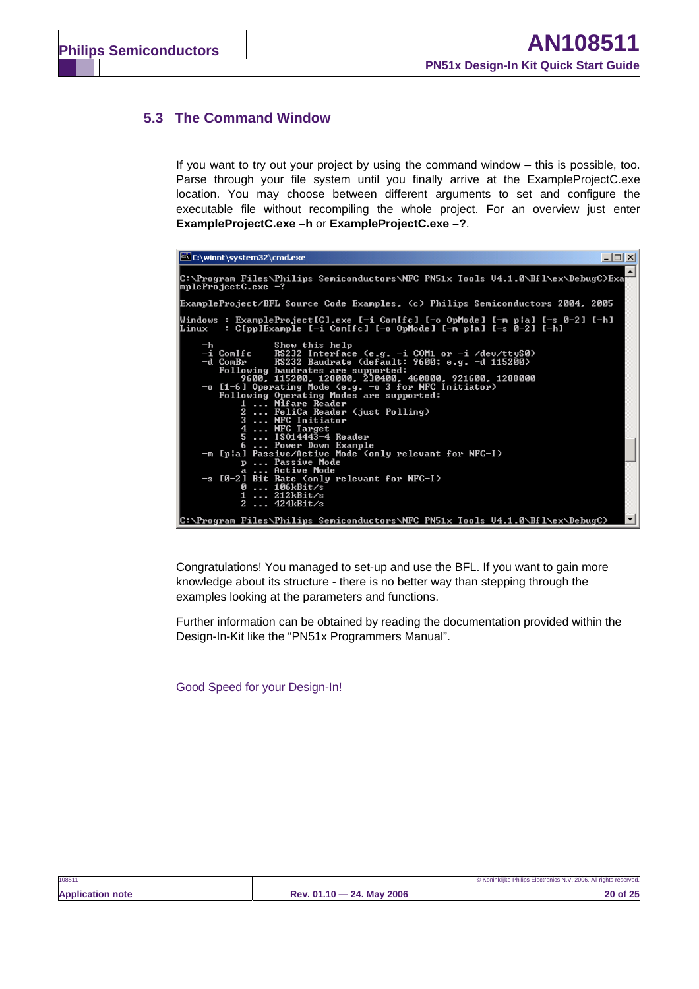### **5.3 The Command Window**

If you want to try out your project by using the command window – this is possible, too. Parse through your file system until you finally arrive at the ExampleProjectC.exe location. You may choose between different arguments to set and configure the executable file without recompiling the whole project. For an overview just enter **ExampleProjectC.exe –h** or **ExampleProjectC.exe –?**.

| <b>EX C:\winnt\system32\cmd.exe</b><br>$ \Box$ $\times$                                                                                                                                                                                                                                                                                                                                                                                                                                                                                                                          |  |
|----------------------------------------------------------------------------------------------------------------------------------------------------------------------------------------------------------------------------------------------------------------------------------------------------------------------------------------------------------------------------------------------------------------------------------------------------------------------------------------------------------------------------------------------------------------------------------|--|
| C:\Program Files\Philips Semiconductors\NFC PN51x Tools U4.1.0\Bfl\ex\DebugC>Exa<br> mpleProjectC.exe −?                                                                                                                                                                                                                                                                                                                                                                                                                                                                         |  |
| ExampleProject/BFL Source Code Examples, (c) Philips Semiconductors 2004, 2005                                                                                                                                                                                                                                                                                                                                                                                                                                                                                                   |  |
| Windows : ExampleProject[C].exe [-i ComIfc] [-o OpMode] [-m p¦a] [-s 0-2] [-h]<br>: C[pp]Example [-i Com[fc] [-o OpMode] [-m p¦a] [-s 0-2] [-h]<br>Linux                                                                                                                                                                                                                                                                                                                                                                                                                         |  |
| Show this help<br>$-\mathbf{h}$<br>$-i$ ComIfc<br>RS232 Interface (e.g. -i COM1 or -i /dev/ttyS0)<br>RS232 Baudrate (default: 9600; e.g. -d 115200)<br>-d ComBr<br>Following baudrates are supported:<br>9600, 115200, 128000, 230400, 460800, 921600, 1288000<br>$-$ o [1-6] Operating Mode (e.g. $-$ o 3 for NFC Initiator)<br>Following Operating Modes are supported:<br>1  Mifare Reader<br>2  FeliCa Reader (just Polling)<br>3  NFC Initiator<br>4  NFC Target<br>5  ISO14443-4 Reader<br>6  Power Down Example<br>-m [pla] Passive/Active Mode (only relevant for NFC-I) |  |
| p Passive Mode<br>a  Active Mode<br>-s [0-2] Bit Rate (only relevant for NFC-I)<br>0106kBit/s<br>1 $212kBit/s$<br>2 $424kBit/s$                                                                                                                                                                                                                                                                                                                                                                                                                                                  |  |
| C:\Program_Files\Philips_Semiconductors\NFC_PN51x_Tools_U4.1.0\Bfl\ex\DebugC>                                                                                                                                                                                                                                                                                                                                                                                                                                                                                                    |  |

Congratulations! You managed to set-up and use the BFL. If you want to gain more knowledge about its structure - there is no better way than stepping through the examples looking at the parameters and functions.

Further information can be obtained by reading the documentation provided within the Design-In-Kit like the "PN51x Programmers Manual".

Good Speed for your Design-In!

| 108511                  |                           | © Koninklijke Philips Electronics N.V. 2006. All rights reserved. |
|-------------------------|---------------------------|-------------------------------------------------------------------|
| <b>Application note</b> | Rev. 01.10 - 24. May 2006 | 20 of 25                                                          |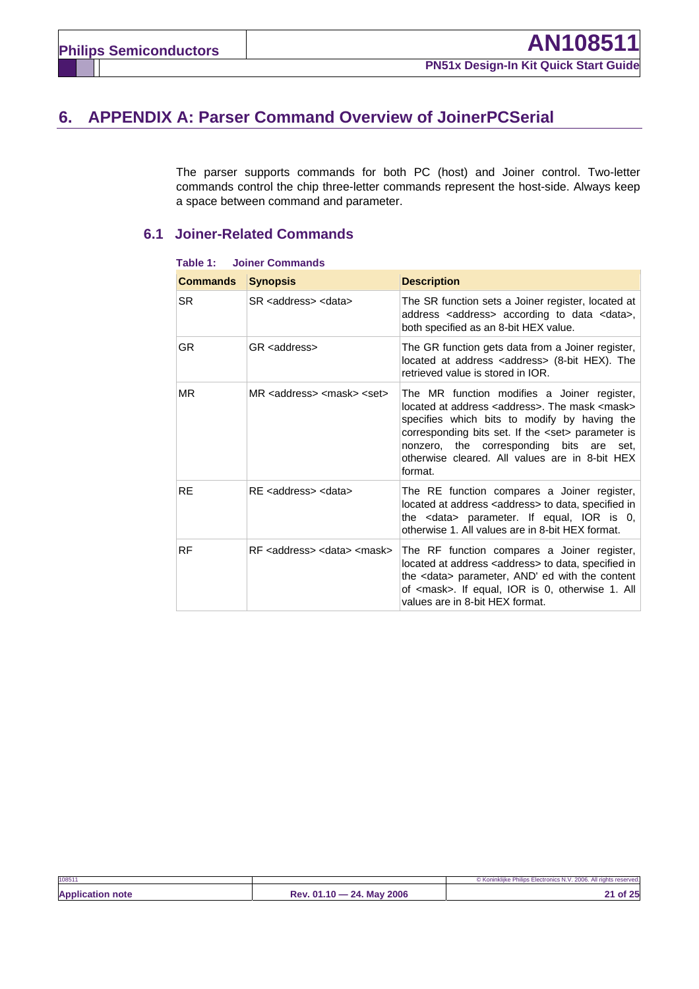# **6. APPENDIX A: Parser Command Overview of JoinerPCSerial**

The parser supports commands for both PC (host) and Joiner control. Two-letter commands control the chip three-letter commands represent the host-side. Always keep a space between command and parameter.

### **6.1 Joiner-Related Commands**

| <b>Commands</b> | <b>Synopsis</b>                                      | <b>Description</b>                                                                                                                                                                                                                                                                                                                     |
|-----------------|------------------------------------------------------|----------------------------------------------------------------------------------------------------------------------------------------------------------------------------------------------------------------------------------------------------------------------------------------------------------------------------------------|
| <b>SR</b>       | SR <address> <data></data></address>                 | The SR function sets a Joiner register, located at<br>address <address> according to data <data>,<br/>both specified as an 8-bit HEX value.</data></address>                                                                                                                                                                           |
| GR.             | GR <address></address>                               | The GR function gets data from a Joiner register,<br>located at address <address> (8-bit HEX). The<br/>retrieved value is stored in IOR.</address>                                                                                                                                                                                     |
| <b>MR</b>       | MR <address> <mask> <set></set></mask></address>     | The MR function modifies a Joiner register,<br>located at address <address>. The mask <mask><br/>specifies which bits to modify by having the<br/>corresponding bits set. If the <set> parameter is<br/>nonzero, the corresponding bits are set,<br/>otherwise cleared. All values are in 8-bit HEX<br/>format.</set></mask></address> |
| <b>RE</b>       | RE <address> <data></data></address>                 | The RE function compares a Joiner register,<br>located at address <address> to data, specified in<br/>the <data> parameter. If equal, IOR is 0,<br/>otherwise 1. All values are in 8-bit HEX format.</data></address>                                                                                                                  |
| RF              | $RF$ <address> <data> <mask></mask></data></address> | The RF function compares a Joiner register,<br>located at address <address> to data, specified in<br/>the <data> parameter, AND' ed with the content<br/>of <mask>. If equal, IOR is 0, otherwise 1. All<br/>values are in 8-bit HEX format.</mask></data></address>                                                                   |

**Table 1: Joiner Commands** 

| 108511                  |                           | © Koninklijke Philips Electronics N.V. 2006. All rights reserved. |
|-------------------------|---------------------------|-------------------------------------------------------------------|
| <b>Application note</b> | Rev. 01.10 - 24. May 2006 | 21 of 25                                                          |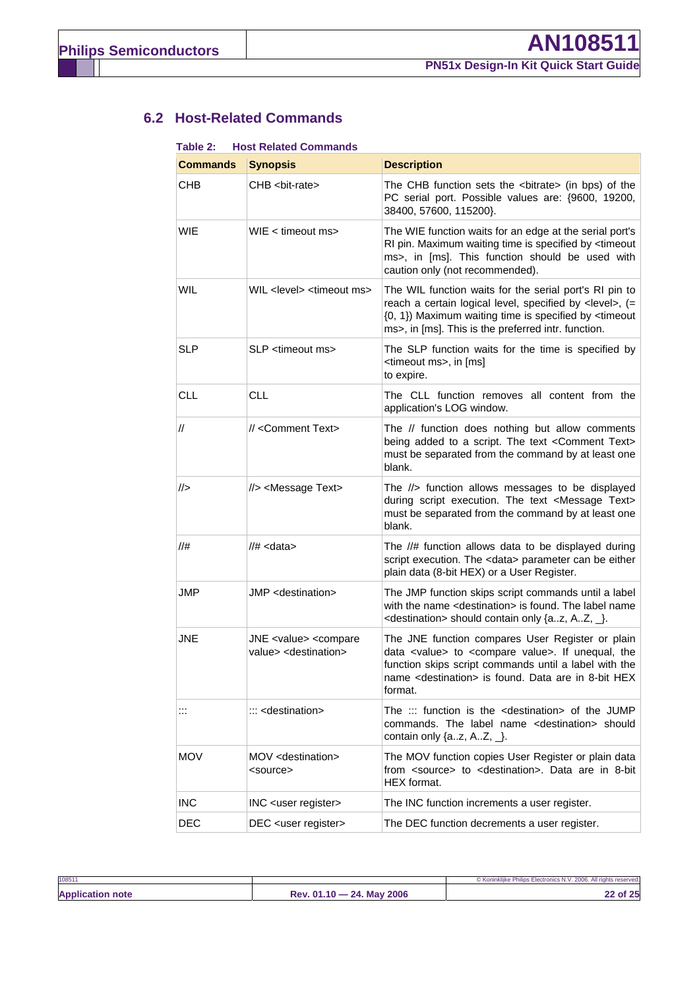## **6.2 Host-Related Commands**

| Table 2:        | <b>Host Related Commands</b>                                                       |                                                                                                                                                                                                                                                                      |
|-----------------|------------------------------------------------------------------------------------|----------------------------------------------------------------------------------------------------------------------------------------------------------------------------------------------------------------------------------------------------------------------|
| <b>Commands</b> | <b>Synopsis</b>                                                                    | <b>Description</b>                                                                                                                                                                                                                                                   |
| <b>CHB</b>      | CHB <bit-rate></bit-rate>                                                          | The CHB function sets the <bitrate> (in bps) of the<br/>PC serial port. Possible values are: {9600, 19200,<br/>38400, 57600, 115200}.</bitrate>                                                                                                                      |
| <b>WIE</b>      | WIE < timeout ms>                                                                  | The WIE function waits for an edge at the serial port's<br>RI pin. Maximum waiting time is specified by <timeout<br>ms&gt;, in [ms]. This function should be used with<br/>caution only (not recommended).</timeout<br>                                              |
| <b>WIL</b>      | WIL <level> <timeout ms=""></timeout></level>                                      | The WIL function waits for the serial port's RI pin to<br>reach a certain logical level, specified by <level>, (=<br/>{0, 1}) Maximum waiting time is specified by <timeout<br>ms&gt;, in [ms]. This is the preferred intr. function.</timeout<br></level>           |
| <b>SLP</b>      | SLP <timeout ms=""></timeout>                                                      | The SLP function waits for the time is specified by<br><timeout ms="">, in [ms]<br/>to expire.</timeout>                                                                                                                                                             |
| <b>CLL</b>      | <b>CLL</b>                                                                         | The CLL function removes all content from the<br>application's LOG window.                                                                                                                                                                                           |
| //              | // <comment text=""></comment>                                                     | The // function does nothing but allow comments<br>being added to a script. The text < Comment Text><br>must be separated from the command by at least one<br>blank.                                                                                                 |
|                 | //> <message text=""></message>                                                    | The //> function allows messages to be displayed<br>during script execution. The text <message text=""><br/>must be separated from the command by at least one<br/>blank.</message>                                                                                  |
| //#             | $//# <$ data>                                                                      | The //# function allows data to be displayed during<br>script execution. The <data> parameter can be either<br/>plain data (8-bit HEX) or a User Register.</data>                                                                                                    |
| JMP             | JMP <destination></destination>                                                    | The JMP function skips script commands until a label<br>with the name <destination> is found. The label name<br/><destination> should contain only {az, AZ, _}.</destination></destination>                                                                          |
| JNE             | JNE <value> <compare<br>value&gt; <destination></destination></compare<br></value> | The JNE function compares User Register or plain<br>data <value> to <compare value="">. If unequal, the<br/>function skips script commands until a label with the<br/>name <destination> is found. Data are in 8-bit HEX<br/>format.</destination></compare></value> |
| $\mathbb{R}^2$  | $\ldots$ <destination></destination>                                               | The ::: function is the $\leq$ destination> of the JUMP<br>commands. The label name <destination> should<br/>contain only <math>\{az, AZ, \_\}.</math></destination>                                                                                                 |
| <b>MOV</b>      | MOV <destination><br/><source/></destination>                                      | The MOV function copies User Register or plain data<br>from <source/> to <destination>. Data are in 8-bit<br/>HEX format.</destination>                                                                                                                              |
| <b>INC</b>      | INC <user register=""></user>                                                      | The INC function increments a user register.                                                                                                                                                                                                                         |
| DEC             | DEC <user register=""></user>                                                      | The DEC function decrements a user register.                                                                                                                                                                                                                         |

| 10851                   |                                  | © Koninklijke Philips Electronics N.V. 2006. All rights reserved. |
|-------------------------|----------------------------------|-------------------------------------------------------------------|
| <b>Application note</b> | $24.$ May 2006<br>$Rev. 01.10 -$ | 22 of 25                                                          |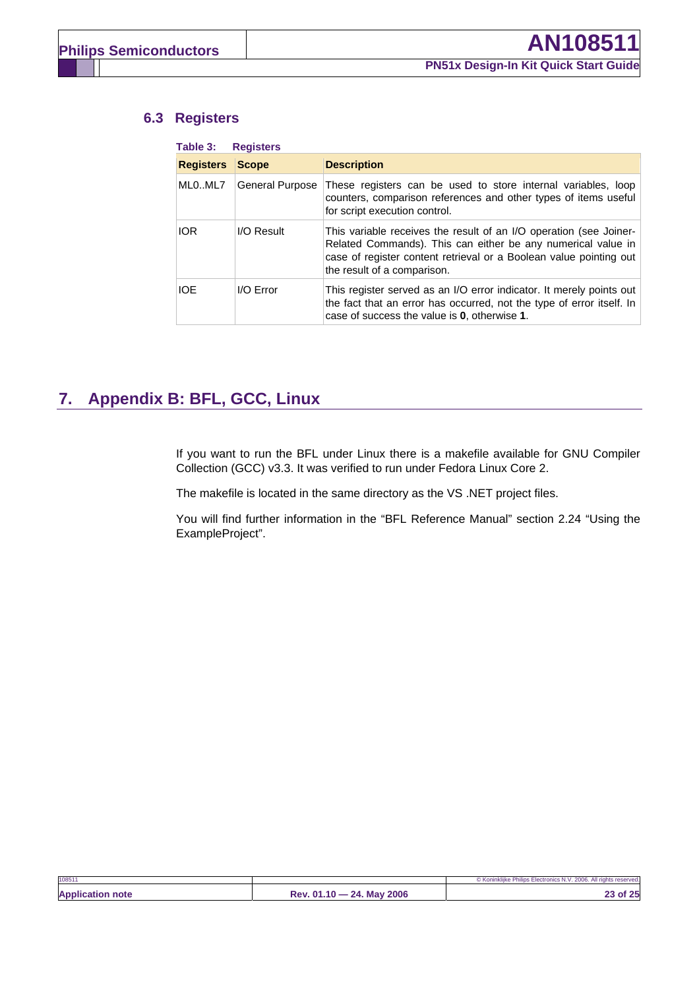### **6.3 Registers**

| <b>Registers</b> | <b>Scope</b>           | <b>Description</b>                                                                                                                                                                                                                      |
|------------------|------------------------|-----------------------------------------------------------------------------------------------------------------------------------------------------------------------------------------------------------------------------------------|
| MLOML7           | <b>General Purpose</b> | These registers can be used to store internal variables, loop<br>counters, comparison references and other types of items useful<br>for script execution control.                                                                       |
| <b>IOR</b>       | I/O Result             | This variable receives the result of an I/O operation (see Joiner-<br>Related Commands). This can either be any numerical value in<br>case of register content retrieval or a Boolean value pointing out<br>the result of a comparison. |
| <b>IOE</b>       | I/O Error              | This register served as an I/O error indicator. It merely points out<br>the fact that an error has occurred, not the type of error itself. In<br>case of success the value is 0, otherwise 1.                                           |

# **7. Appendix B: BFL, GCC, Linux**

If you want to run the BFL under Linux there is a makefile available for GNU Compiler Collection (GCC) v3.3. It was verified to run under Fedora Linux Core 2.

The makefile is located in the same directory as the VS .NET project files.

You will find further information in the "BFL Reference Manual" section 2.24 "Using the ExampleProject".

| 108511                  |                           | © Koninklijke Philips Electronics N.V. 2006. All rights reserved. |
|-------------------------|---------------------------|-------------------------------------------------------------------|
| <b>Application note</b> | Rev. 01.10 - 24. May 2006 | 23 of 25                                                          |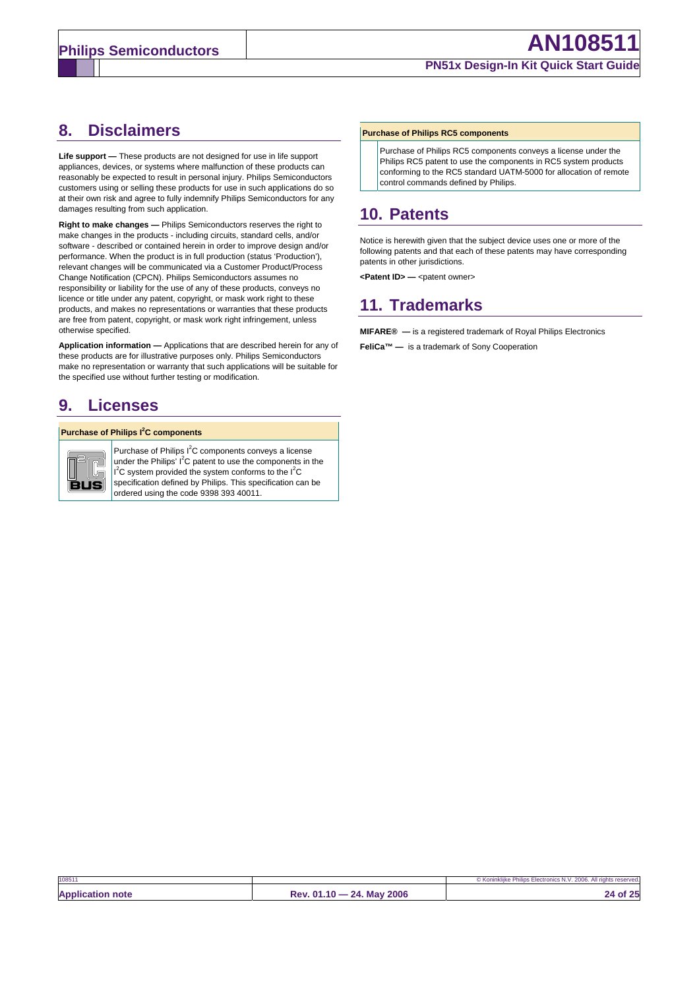## **8. Disclaimers**

**Life support —** These products are not designed for use in life support appliances, devices, or systems where malfunction of these products can reasonably be expected to result in personal injury. Philips Semiconductors customers using or selling these products for use in such applications do so at their own risk and agree to fully indemnify Philips Semiconductors for any damages resulting from such application.

**Right to make changes —** Philips Semiconductors reserves the right to make changes in the products - including circuits, standard cells, and/or software - described or contained herein in order to improve design and/or performance. When the product is in full production (status 'Production'), relevant changes will be communicated via a Customer Product/Process Change Notification (CPCN). Philips Semiconductors assumes no responsibility or liability for the use of any of these products, conveys no licence or title under any patent, copyright, or mask work right to these products, and makes no representations or warranties that these products are free from patent, copyright, or mask work right infringement, unless otherwise specified.

**Application information —** Applications that are described herein for any of these products are for illustrative purposes only. Philips Semiconductors make no representation or warranty that such applications will be suitable for the specified use without further testing or modification.

# **9. Licenses**

#### **Purchase of Philips I<sup>2</sup>C components**



**Purchase of Philips I<sup>2</sup>C components conveys a license** under the Philips'  $I^2C$  patent to use the components in the  $I<sup>2</sup>C$  system provided the system conforms to the  $I<sup>2</sup>C$ specification defined by Philips. This specification can be ordered using the code 9398 393 40011.

#### **Purchase of Philips RC5 components**

Purchase of Philips RC5 components conveys a license under the Philips RC5 patent to use the components in RC5 system products conforming to the RC5 standard UATM-5000 for allocation of remote control commands defined by Philips.

# **10. Patents**

Notice is herewith given that the subject device uses one or more of the following patents and that each of these patents may have corresponding patents in other jurisdictions.

<Patent ID> - <patent owner>

# **11. Trademarks**

**MIFARE® —** is a registered trademark of Royal Philips Electronics **FeliCa™ —** is a trademark of Sony Cooperation

| 10851                   |                           | © Koninklijke Philips Electronics N.V. 2006. All rights reserved. |
|-------------------------|---------------------------|-------------------------------------------------------------------|
| <b>Application note</b> | Rev. 01.10 - 24. May 2006 | 24 of 25                                                          |